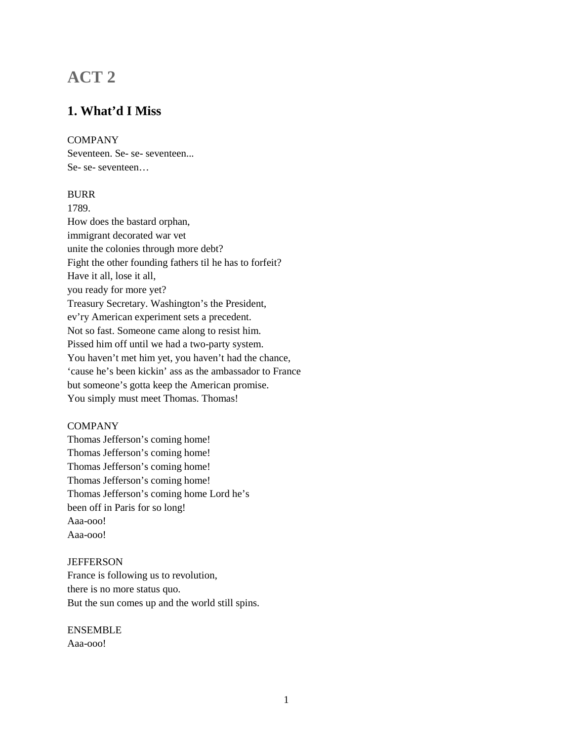# **ACT 2**

### **1. What'd I Miss**

### **COMPANY**

Seventeen. Se- se- seventeen... Se- se- seventeen…

### BURR

1789. How does the bastard orphan, immigrant decorated war vet unite the colonies through more debt? Fight the other founding fathers til he has to forfeit? Have it all, lose it all, you ready for more yet? Treasury Secretary. Washington's the President, ev'ry American experiment sets a precedent. Not so fast. Someone came along to resist him. Pissed him off until we had a two-party system. You haven't met him yet, you haven't had the chance, 'cause he's been kickin' ass as the ambassador to France but someone's gotta keep the American promise. You simply must meet Thomas. Thomas!

### **COMPANY**

Thomas Jefferson's coming home! Thomas Jefferson's coming home! Thomas Jefferson's coming home! Thomas Jefferson's coming home! Thomas Jefferson's coming home Lord he's been off in Paris for so long! Aaa-ooo! Aaa-ooo!

### **JEFFERSON**

France is following us to revolution, there is no more status quo. But the sun comes up and the world still spins.

### ENSEMBLE

Aaa-ooo!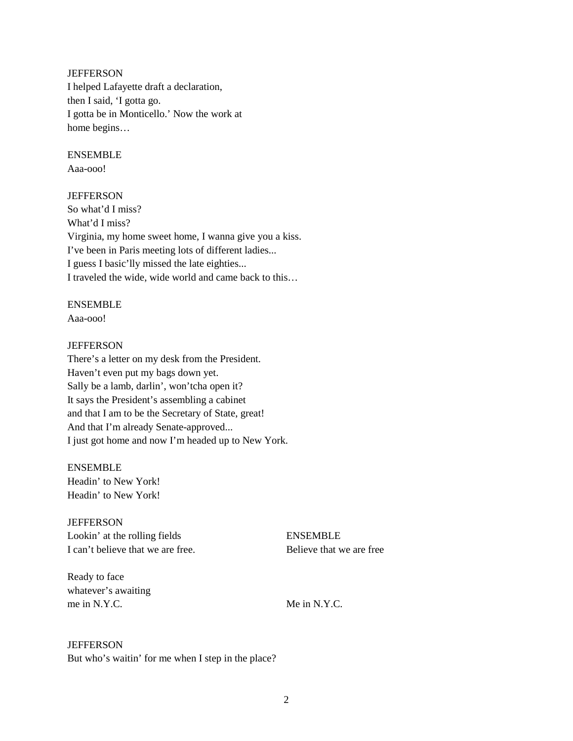#### **JEFFERSON**

I helped Lafayette draft a declaration, then I said, 'I gotta go. I gotta be in Monticello.' Now the work at home begins…

### ENSEMBLE

Aaa-ooo!

#### **JEFFERSON**

So what'd I miss? What'd I miss? Virginia, my home sweet home, I wanna give you a kiss. I've been in Paris meeting lots of different ladies... I guess I basic'lly missed the late eighties... I traveled the wide, wide world and came back to this…

### ENSEMBLE

Aaa-ooo!

### **JEFFERSON**

There's a letter on my desk from the President. Haven't even put my bags down yet. Sally be a lamb, darlin', won'tcha open it? It says the President's assembling a cabinet and that I am to be the Secretary of State, great! And that I'm already Senate-approved... I just got home and now I'm headed up to New York.

ENSEMBLE Headin' to New York! Headin' to New York!

**JEFFERSON** Lookin' at the rolling fields I can't believe that we are free.

Ready to face whatever's awaiting me in N.Y.C.

ENSEMBLE Believe that we are free

Me in N.Y.C.

#### **JEFFERSON**

But who's waitin' for me when I step in the place?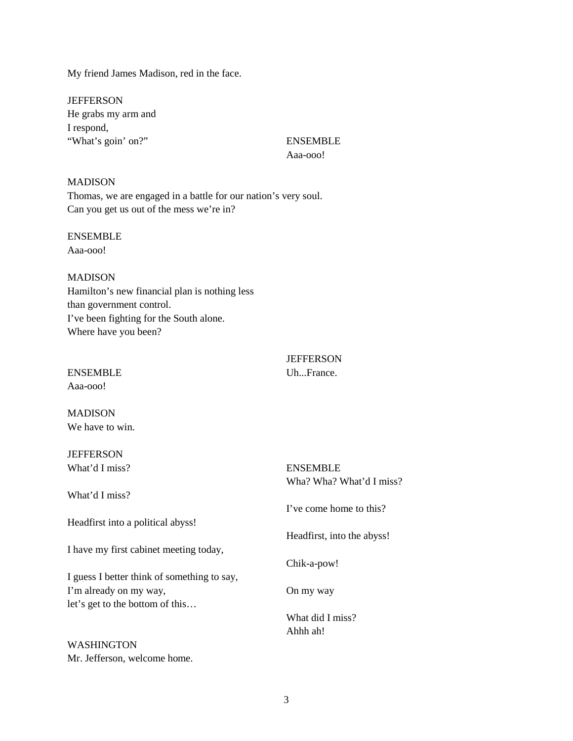My friend James Madison, red in the face.

**JEFFERSON** He grabs my arm and I respond, "What's goin' on?" ENSEMBLE

# Aaa-ooo!

# MADISON

Thomas, we are engaged in a battle for our nation's very soul. Can you get us out of the mess we're in?

ENSEMBLE Aaa-ooo!

### MADISON

Hamilton's new financial plan is nothing less than government control. I've been fighting for the South alone. Where have you been?

|                 | <b>JEFFERSON</b> |
|-----------------|------------------|
| <b>ENSEMBLE</b> | UhFrance.        |
| Aaa-ooo!        |                  |

MADISON We have to win.

**JEFFERSON** What'd I miss? What'd I miss? Headfirst into a political abyss! I have my first cabinet meeting today, I guess I better think of something to say, I'm already on my way, let's get to the bottom of this… ENSEMBLE Wha? Wha? What'd I miss? I've come home to this? Headfirst, into the abyss! Chik-a-pow! On my way What did I miss? Ahhh ah! WASHINGTON

Mr. Jefferson, welcome home.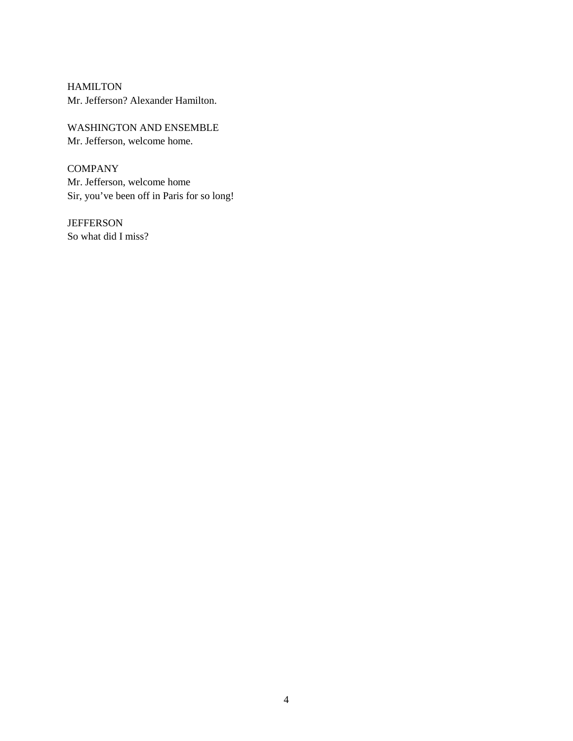HAMILTON Mr. Jefferson? Alexander Hamilton.

WASHINGTON AND ENSEMBLE Mr. Jefferson, welcome home.

**COMPANY** Mr. Jefferson, welcome home Sir, you've been off in Paris for so long!

**JEFFERSON** So what did I miss?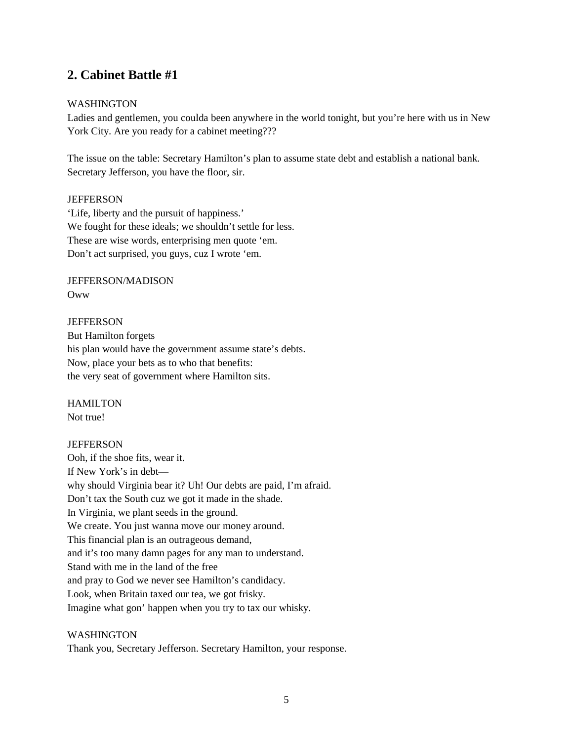### **2. Cabinet Battle #1**

### WASHINGTON

Ladies and gentlemen, you coulda been anywhere in the world tonight, but you're here with us in New York City. Are you ready for a cabinet meeting???

The issue on the table: Secretary Hamilton's plan to assume state debt and establish a national bank. Secretary Jefferson, you have the floor, sir.

### **JEFFERSON**

'Life, liberty and the pursuit of happiness.' We fought for these ideals; we shouldn't settle for less. These are wise words, enterprising men quote 'em. Don't act surprised, you guys, cuz I wrote 'em.

JEFFERSON/MADISON **Oww** 

#### **JEFFERSON**

But Hamilton forgets his plan would have the government assume state's debts. Now, place your bets as to who that benefits: the very seat of government where Hamilton sits.

### HAMILTON

Not true!

### **JEFFERSON**

Ooh, if the shoe fits, wear it. If New York's in debt why should Virginia bear it? Uh! Our debts are paid, I'm afraid. Don't tax the South cuz we got it made in the shade. In Virginia, we plant seeds in the ground. We create. You just wanna move our money around. This financial plan is an outrageous demand, and it's too many damn pages for any man to understand. Stand with me in the land of the free and pray to God we never see Hamilton's candidacy. Look, when Britain taxed our tea, we got frisky. Imagine what gon' happen when you try to tax our whisky.

### WASHINGTON

Thank you, Secretary Jefferson. Secretary Hamilton, your response.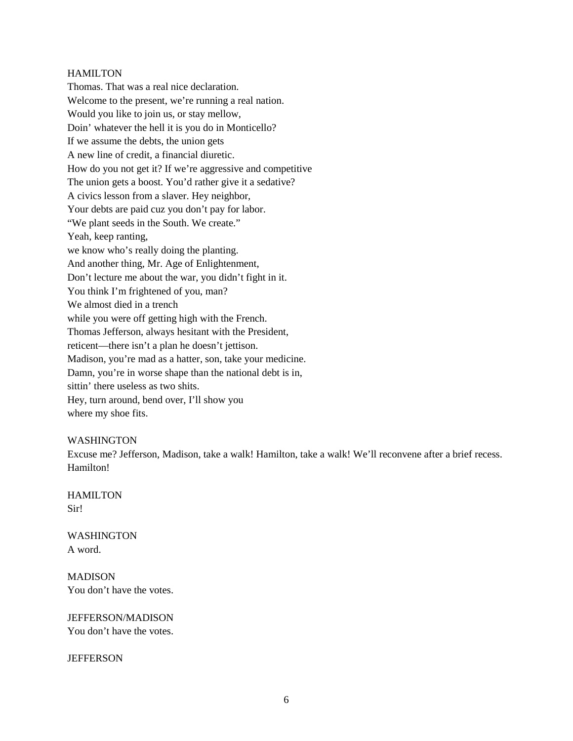#### HAMILTON

Thomas. That was a real nice declaration. Welcome to the present, we're running a real nation. Would you like to join us, or stay mellow, Doin' whatever the hell it is you do in Monticello? If we assume the debts, the union gets A new line of credit, a financial diuretic. How do you not get it? If we're aggressive and competitive The union gets a boost. You'd rather give it a sedative? A civics lesson from a slaver. Hey neighbor, Your debts are paid cuz you don't pay for labor. "We plant seeds in the South. We create." Yeah, keep ranting, we know who's really doing the planting. And another thing, Mr. Age of Enlightenment, Don't lecture me about the war, you didn't fight in it. You think I'm frightened of you, man? We almost died in a trench while you were off getting high with the French. Thomas Jefferson, always hesitant with the President, reticent—there isn't a plan he doesn't jettison. Madison, you're mad as a hatter, son, take your medicine. Damn, you're in worse shape than the national debt is in, sittin' there useless as two shits. Hey, turn around, bend over, I'll show you where my shoe fits.

#### WASHINGTON

Excuse me? Jefferson, Madison, take a walk! Hamilton, take a walk! We'll reconvene after a brief recess. Hamilton!

**HAMILTON** Sir!

WASHINGTON A word.

MADISON You don't have the votes.

JEFFERSON/MADISON You don't have the votes.

#### **JEFFERSON**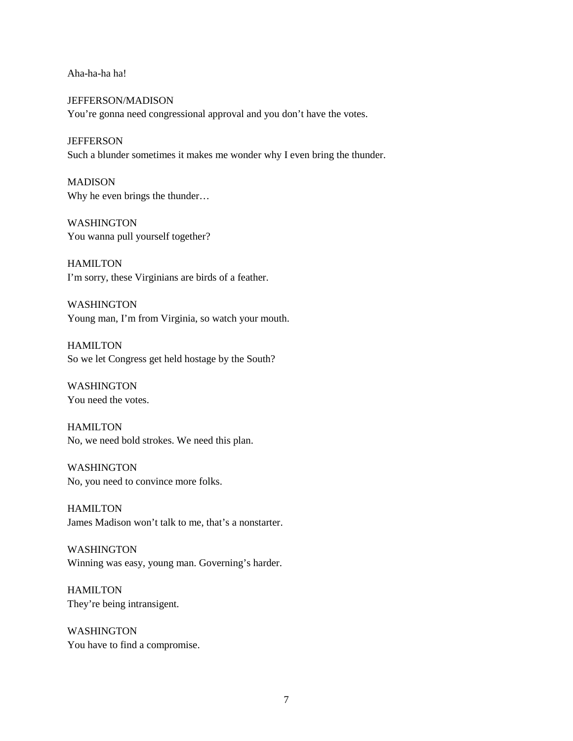Aha-ha-ha ha!

JEFFERSON/MADISON You're gonna need congressional approval and you don't have the votes.

**JEFFERSON** Such a blunder sometimes it makes me wonder why I even bring the thunder.

MADISON Why he even brings the thunder…

WASHINGTON You wanna pull yourself together?

**HAMILTON** I'm sorry, these Virginians are birds of a feather.

WASHINGTON Young man, I'm from Virginia, so watch your mouth.

**HAMILTON** So we let Congress get held hostage by the South?

WASHINGTON You need the votes.

HAMILTON No, we need bold strokes. We need this plan.

WASHINGTON No, you need to convince more folks.

**HAMILTON** James Madison won't talk to me, that's a nonstarter.

WASHINGTON Winning was easy, young man. Governing's harder.

**HAMILTON** They're being intransigent.

**WASHINGTON** You have to find a compromise.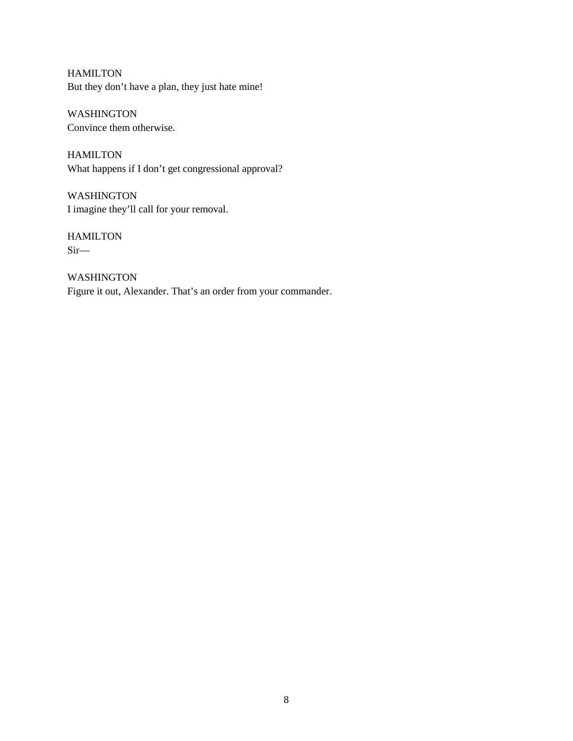**HAMILTON** But they don't have a plan, they just hate mine!

WASHINGTON Convince them otherwise.

HAMILTON What happens if I don't get congressional approval?

WASHINGTON I imagine they'll call for your removal.

**HAMILTON** Sir—

WASHINGTON Figure it out, Alexander. That's an order from your commander.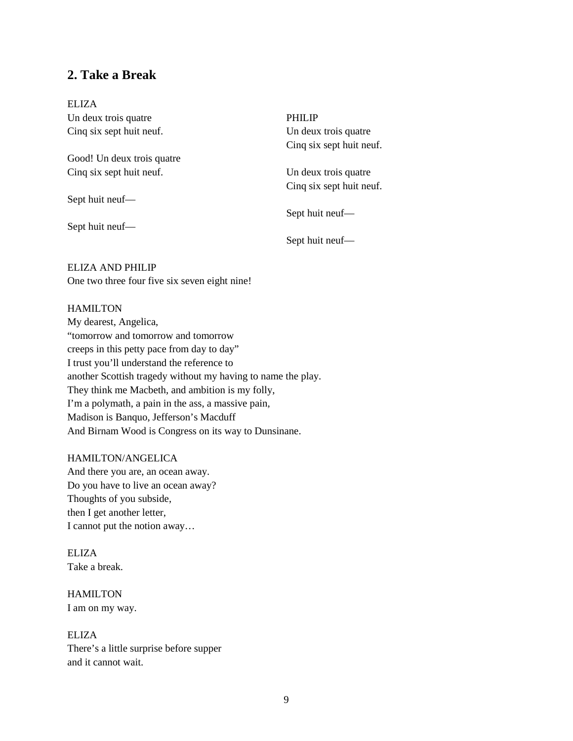### **2. Take a Break**

ELIZA Un deux trois quatre Cinq six sept huit neuf.

Good! Un deux trois quatre Cinq six sept huit neuf.

Sept huit neuf—

Sept huit neuf—

PHILIP Un deux trois quatre Cinq six sept huit neuf.

Un deux trois quatre Cinq six sept huit neuf.

Sept huit neuf—

Sept huit neuf—

### ELIZA AND PHILIP

One two three four five six seven eight nine!

### **HAMILTON**

My dearest, Angelica, "tomorrow and tomorrow and tomorrow creeps in this petty pace from day to day" I trust you'll understand the reference to another Scottish tragedy without my having to name the play. They think me Macbeth, and ambition is my folly, I'm a polymath, a pain in the ass, a massive pain, Madison is Banquo, Jefferson's Macduff And Birnam Wood is Congress on its way to Dunsinane.

### HAMILTON/ANGELICA

And there you are, an ocean away. Do you have to live an ocean away? Thoughts of you subside, then I get another letter, I cannot put the notion away…

ELIZA Take a break.

**HAMILTON** I am on my way.

ELIZA There's a little surprise before supper and it cannot wait.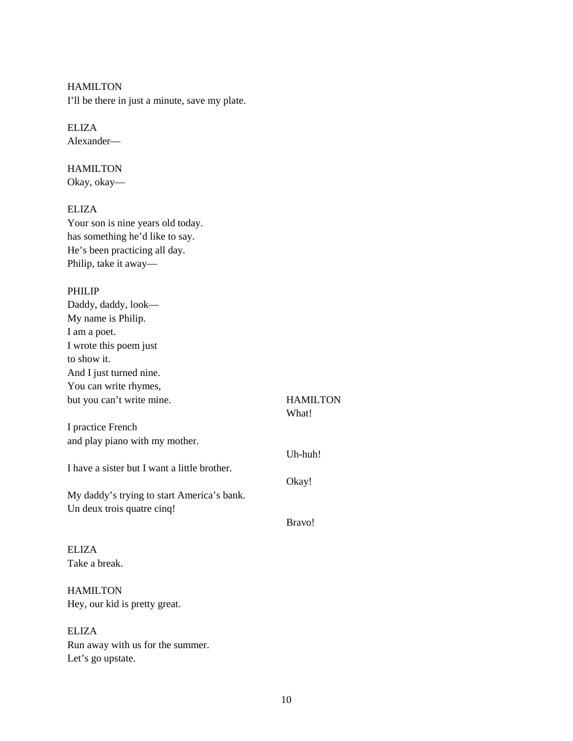HAMILTON I'll be there in just a minute, save my plate.

# ELIZA

Alexander—

### **HAMILTON**

Okay, okay—

### ELIZA

Your son is nine years old today. has something he'd like to say. He's been practicing all day. Philip, take it away—

| <b>PHILIP</b>                                |                 |
|----------------------------------------------|-----------------|
| Daddy, daddy, look-                          |                 |
| My name is Philip.                           |                 |
| I am a poet.                                 |                 |
| I wrote this poem just                       |                 |
| to show it.                                  |                 |
| And I just turned nine.                      |                 |
| You can write rhymes,                        |                 |
| but you can't write mine.                    | <b>HAMILTON</b> |
|                                              | What!           |
| I practice French                            |                 |
| and play piano with my mother.               |                 |
|                                              | Uh-huh!         |
| I have a sister but I want a little brother. |                 |
|                                              | Okay!           |
| My daddy's trying to start America's bank.   |                 |
| Un deux trois quatre cinq!                   |                 |
|                                              | Bravo!          |
|                                              |                 |
| <b>ELIZA</b>                                 |                 |
| Take a break.                                |                 |
|                                              |                 |
| <b>HAMILTON</b>                              |                 |
| Hey, our kid is pretty great.                |                 |
|                                              |                 |

ELIZA Run away with us for the summer. Let's go upstate.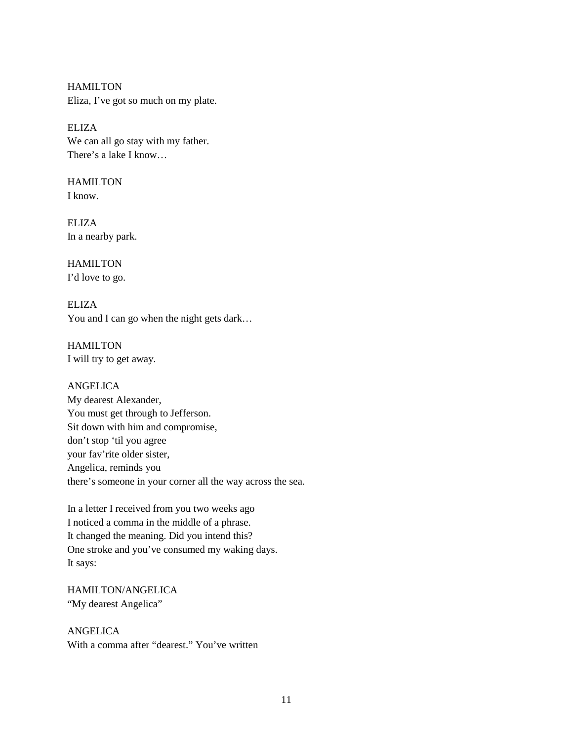**HAMILTON** Eliza, I've got so much on my plate.

ELIZA We can all go stay with my father. There's a lake I know…

**HAMILTON** I know.

ELIZA In a nearby park.

**HAMILTON** I'd love to go.

ELIZA You and I can go when the night gets dark...

**HAMILTON** I will try to get away.

ANGELICA My dearest Alexander, You must get through to Jefferson. Sit down with him and compromise, don't stop 'til you agree your fav'rite older sister, Angelica, reminds you there's someone in your corner all the way across the sea.

In a letter I received from you two weeks ago I noticed a comma in the middle of a phrase. It changed the meaning. Did you intend this? One stroke and you've consumed my waking days. It says:

HAMILTON/ANGELICA "My dearest Angelica"

ANGELICA With a comma after "dearest." You've written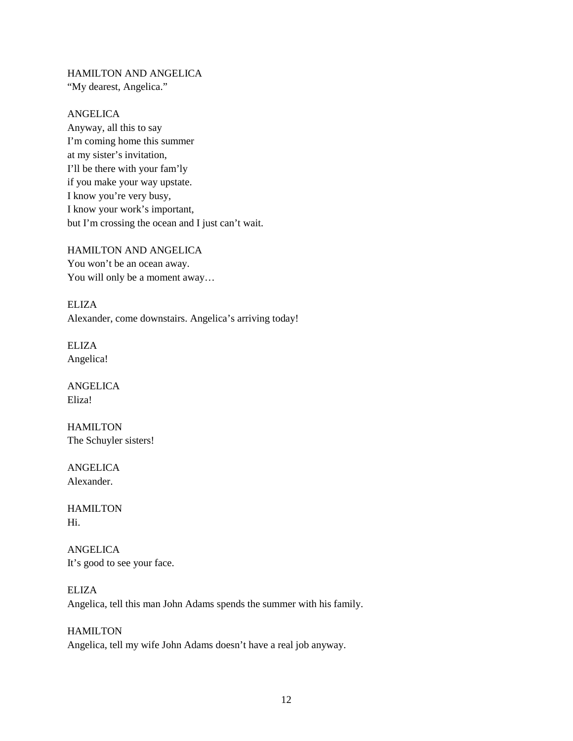HAMILTON AND ANGELICA "My dearest, Angelica."

ANGELICA Anyway, all this to say I'm coming home this summer at my sister's invitation, I'll be there with your fam'ly if you make your way upstate. I know you're very busy, I know your work's important, but I'm crossing the ocean and I just can't wait.

HAMILTON AND ANGELICA You won't be an ocean away. You will only be a moment away…

ELIZA Alexander, come downstairs. Angelica's arriving today!

ELIZA Angelica!

ANGELICA Eliza!

HAMILTON The Schuyler sisters!

ANGELICA Alexander.

**HAMILTON** Hi.

ANGELICA It's good to see your face.

ELIZA Angelica, tell this man John Adams spends the summer with his family.

**HAMILTON** Angelica, tell my wife John Adams doesn't have a real job anyway.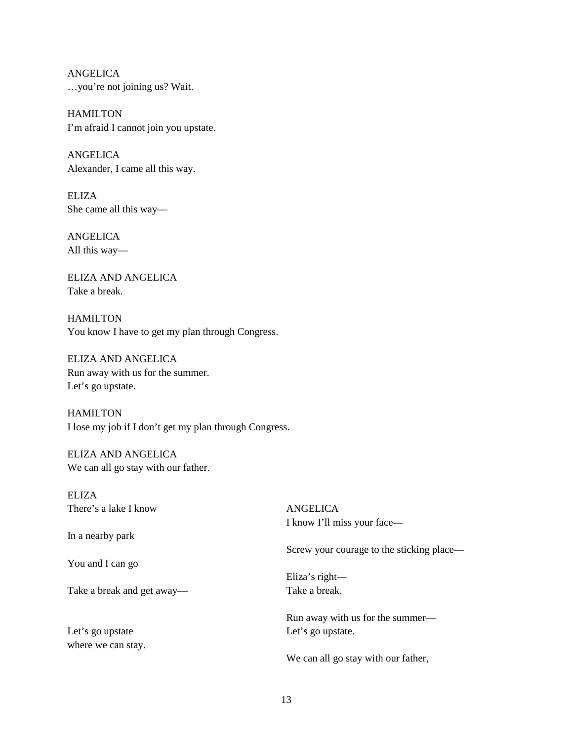ANGELICA …you're not joining us? Wait.

**HAMILTON** I'm afraid I cannot join you upstate.

ANGELICA Alexander, I came all this way.

ELIZA She came all this way—

ANGELICA All this way—

ELIZA AND ANGELICA Take a break.

**HAMILTON** You know I have to get my plan through Congress.

ELIZA AND ANGELICA Run away with us for the summer. Let's go upstate.

**HAMILTON** I lose my job if I don't get my plan through Congress.

ELIZA AND ANGELICA We can all go stay with our father.

| <b>ELIZA</b>               |                                           |
|----------------------------|-------------------------------------------|
| There's a lake I know      | ANGELICA                                  |
|                            | I know I'll miss your face—               |
| In a nearby park           |                                           |
|                            | Screw your courage to the sticking place— |
| You and I can go           |                                           |
|                            | Eliza's right—                            |
| Take a break and get away— | Take a break.                             |
|                            | Run away with us for the summer—          |
| Let's go upstate           | Let's go upstate.                         |
| where we can stay.         |                                           |
|                            | We can all go stay with our father,       |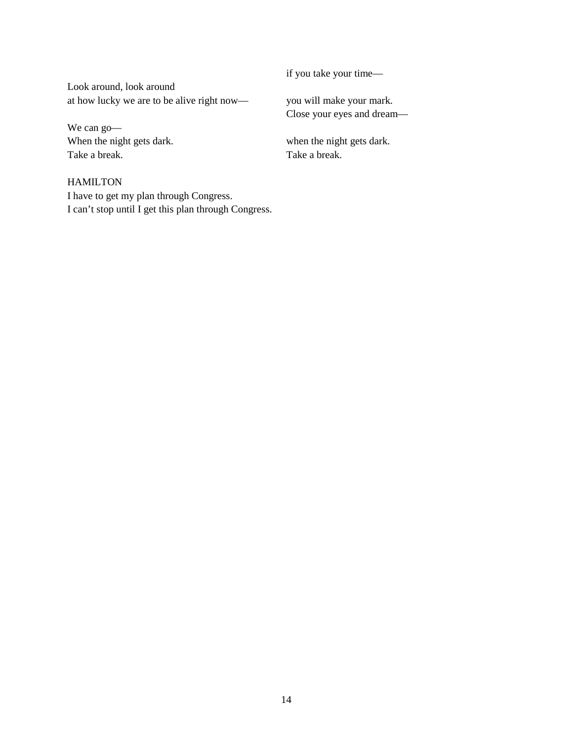if you take your time—

Look around, look around at how lucky we are to be alive right now—

We can go— When the night gets dark. Take a break.

### **HAMILTON**

I have to get my plan through Congress. I can't stop until I get this plan through Congress. you will make your mark. Close your eyes and dream—

when the night gets dark. Take a break.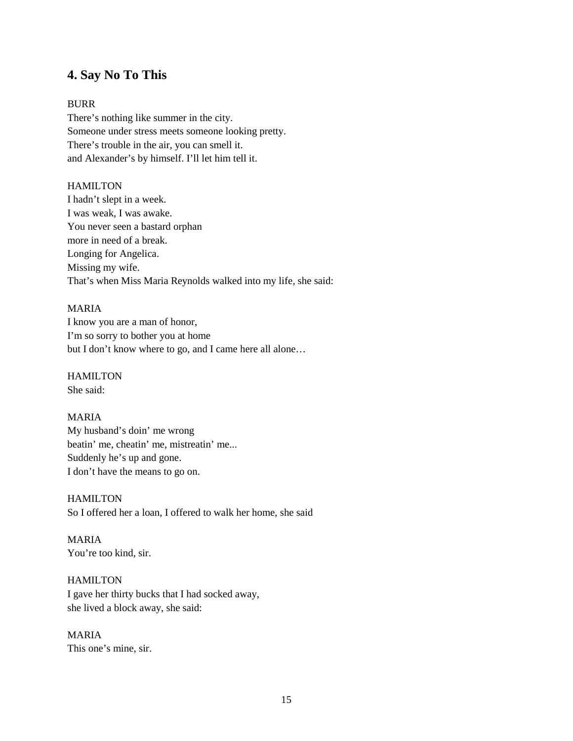### **4. Say No To This**

### BURR

There's nothing like summer in the city. Someone under stress meets someone looking pretty. There's trouble in the air, you can smell it. and Alexander's by himself. I'll let him tell it.

### **HAMILTON**

I hadn't slept in a week. I was weak, I was awake. You never seen a bastard orphan more in need of a break. Longing for Angelica. Missing my wife. That's when Miss Maria Reynolds walked into my life, she said:

### MARIA

I know you are a man of honor, I'm so sorry to bother you at home but I don't know where to go, and I came here all alone...

### **HAMILTON**

She said:

### MARIA

My husband's doin' me wrong beatin' me, cheatin' me, mistreatin' me... Suddenly he's up and gone. I don't have the means to go on.

**HAMILTON** So I offered her a loan, I offered to walk her home, she said

MARIA You're too kind, sir.

**HAMILTON** I gave her thirty bucks that I had socked away, she lived a block away, she said:

MARIA This one's mine, sir.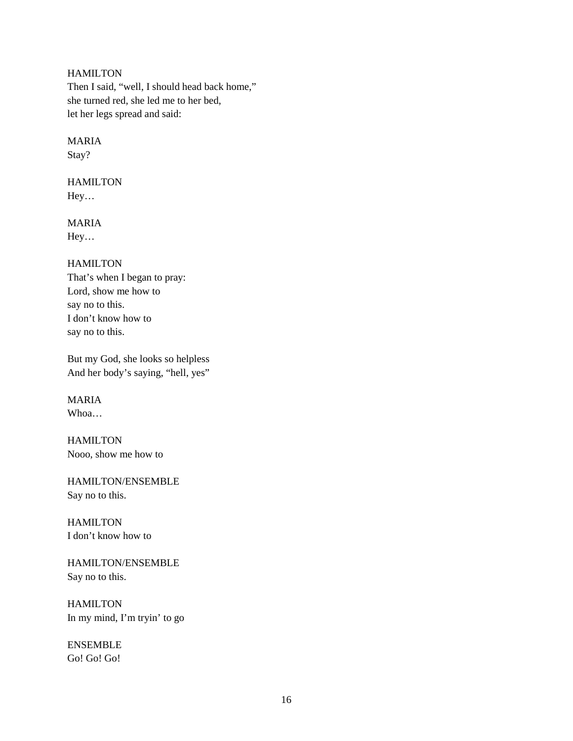### **HAMILTON**

Then I said, "well, I should head back home," she turned red, she led me to her bed, let her legs spread and said:

### MARIA

Stay?

### **HAMILTON**

Hey…

### MARIA Hey…

### **HAMILTON**

That's when I began to pray: Lord, show me how to say no to this. I don't know how to say no to this.

But my God, she looks so helpless And her body's saying, "hell, yes"

MARIA Whoa…

**HAMILTON** Nooo, show me how to

HAMILTON/ENSEMBLE Say no to this.

HAMILTON I don't know how to

HAMILTON/ENSEMBLE Say no to this.

HAMILTON In my mind, I'm tryin' to go

ENSEMBLE Go! Go! Go!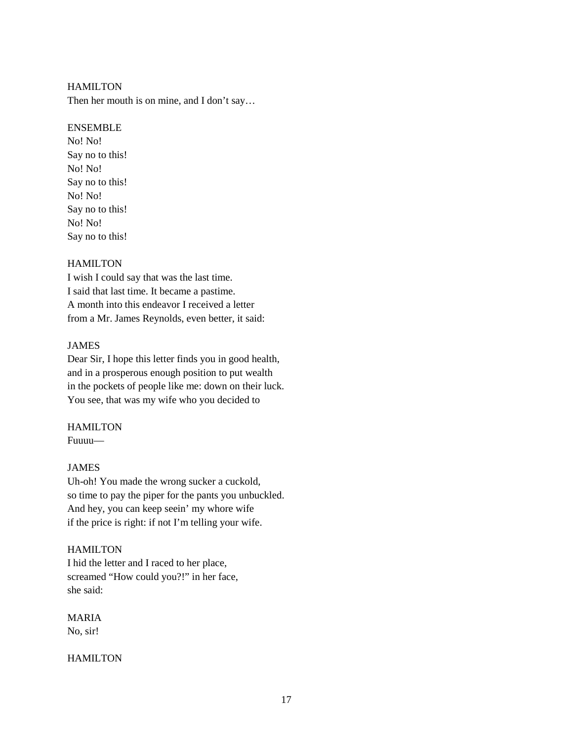### **HAMILTON**

Then her mouth is on mine, and I don't say…

#### ENSEMBLE

No! No! Say no to this! No! No! Say no to this! No! No! Say no to this! No! No! Say no to this!

### **HAMILTON**

I wish I could say that was the last time. I said that last time. It became a pastime. A month into this endeavor I received a letter from a Mr. James Reynolds, even better, it said:

### JAMES

Dear Sir, I hope this letter finds you in good health, and in a prosperous enough position to put wealth in the pockets of people like me: down on their luck. You see, that was my wife who you decided to

### **HAMILTON**

Fuuuu—

### JAMES

Uh-oh! You made the wrong sucker a cuckold, so time to pay the piper for the pants you unbuckled. And hey, you can keep seein' my whore wife if the price is right: if not I'm telling your wife.

### **HAMILTON**

I hid the letter and I raced to her place, screamed "How could you?!" in her face, she said:

MARIA No, sir!

**HAMILTON**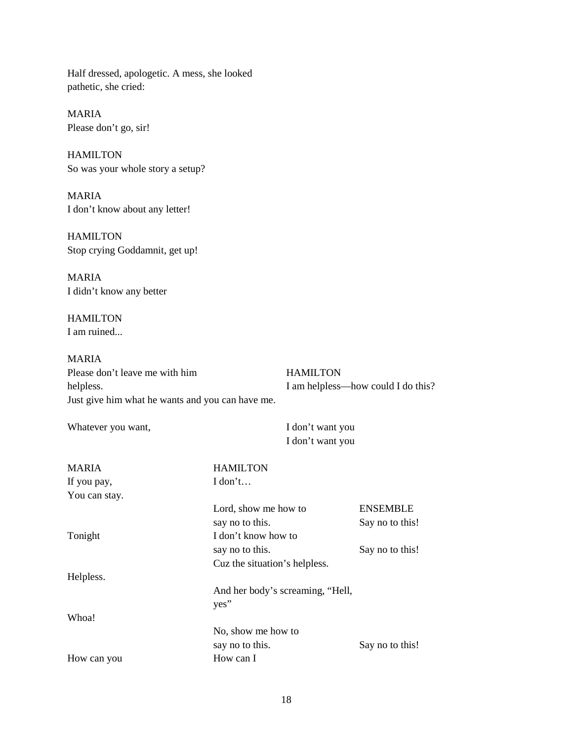Half dressed, apologetic. A mess, she looked pathetic, she cried:

MARIA Please don't go, sir!

HAMILTON So was your whole story a setup?

MARIA I don't know about any letter!

**HAMILTON** Stop crying Goddamnit, get up!

MARIA I didn't know any better

**HAMILTON** I am ruined...

### MARIA

| Please don't leave me with him                   | <b>HAMILTON</b>                    |
|--------------------------------------------------|------------------------------------|
| helpless.                                        | I am helpless—how could I do this? |
| Just give him what he wants and you can have me. |                                    |

Whatever you want,

I don't want you I don't want you

| <b>MARIA</b>  | <b>HAMILTON</b>                  |                 |
|---------------|----------------------------------|-----------------|
| If you pay,   | I don't                          |                 |
| You can stay. |                                  |                 |
|               | Lord, show me how to             | <b>ENSEMBLE</b> |
|               | say no to this.                  | Say no to this! |
| Tonight       | I don't know how to              |                 |
|               | say no to this.                  | Say no to this! |
|               | Cuz the situation's helpless.    |                 |
| Helpless.     |                                  |                 |
|               | And her body's screaming, "Hell, |                 |
|               | yes"                             |                 |
| Whoa!         |                                  |                 |
|               | No, show me how to               |                 |
|               | say no to this.                  | Say no to this! |
| How can you   | How can I                        |                 |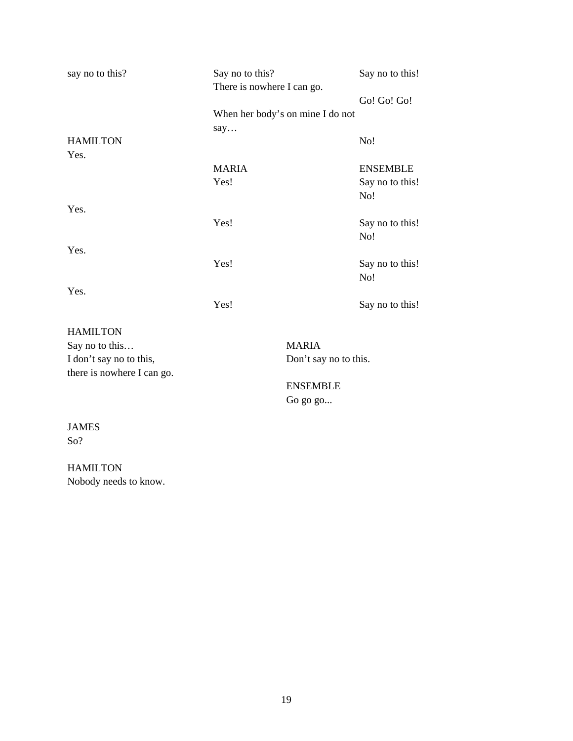| say no to this? | Say no to this?<br>There is nowhere I can go. | Say no to this! |
|-----------------|-----------------------------------------------|-----------------|
|                 |                                               | Go! Go! Go!     |
|                 | When her body's on mine I do not              |                 |
|                 | say                                           |                 |
| <b>HAMILTON</b> |                                               | No!             |
| Yes.            |                                               |                 |
|                 | <b>MARIA</b>                                  | <b>ENSEMBLE</b> |
|                 | Yes!                                          | Say no to this! |
|                 |                                               | No!             |
| Yes.            |                                               |                 |
|                 | Yes!                                          | Say no to this! |
|                 |                                               | No!             |
| Yes.            |                                               |                 |
|                 | Yes!                                          | Say no to this! |
|                 |                                               | No!             |
| Yes.            |                                               |                 |
|                 | Yes!                                          | Say no to this! |
| <b>HAMILTON</b> |                                               |                 |
| Say no to this  | <b>MARIA</b>                                  |                 |

I don't say no to this, there is nowhere I can go. Don't say no to this.

ENSEMBLE Go go go ...

### JAMES So?

HAMILTON Nobody needs to know.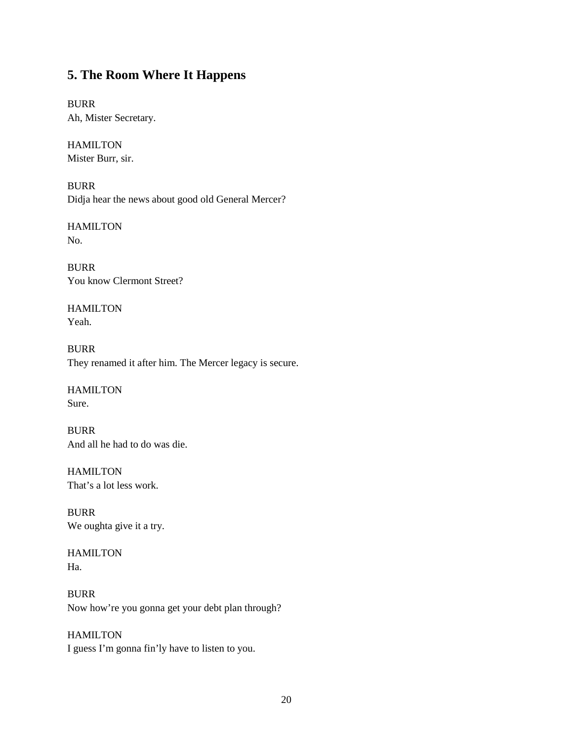## **5. The Room Where It Happens**

BURR Ah, Mister Secretary.

**HAMILTON** Mister Burr, sir.

BURR Didja hear the news about good old General Mercer?

**HAMILTON** No.

BURR You know Clermont Street?

**HAMILTON** Yeah.

BURR They renamed it after him. The Mercer legacy is secure.

**HAMILTON** Sure.

BURR And all he had to do was die.

**HAMILTON** That's a lot less work.

BURR We oughta give it a try.

**HAMILTON** Ha.

BURR Now how're you gonna get your debt plan through?

**HAMILTON** I guess I'm gonna fin'ly have to listen to you.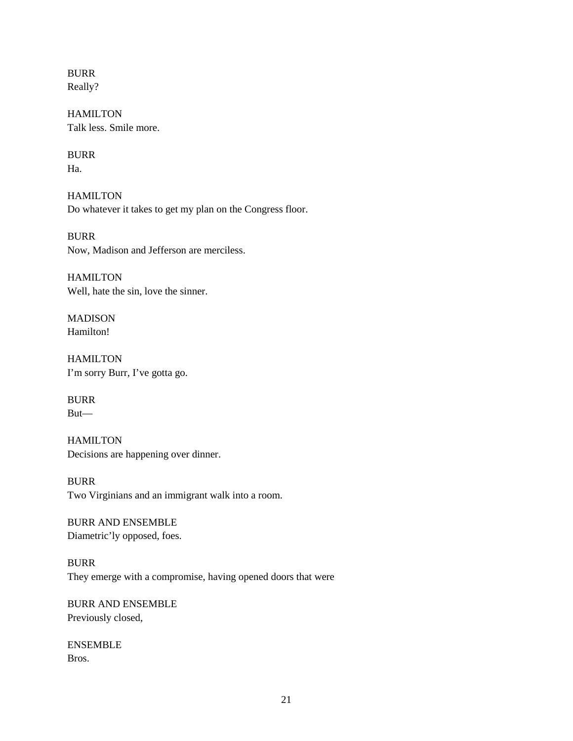BURR Really?

**HAMILTON** Talk less. Smile more.

BURR Ha.

**HAMILTON** Do whatever it takes to get my plan on the Congress floor.

BURR Now, Madison and Jefferson are merciless.

**HAMILTON** Well, hate the sin, love the sinner.

MADISON Hamilton!

**HAMILTON** I'm sorry Burr, I've gotta go.

BURR But—

**HAMILTON** Decisions are happening over dinner.

BURR Two Virginians and an immigrant walk into a room.

BURR AND ENSEMBLE Diametric'ly opposed, foes.

BURR They emerge with a compromise, having opened doors that were

BURR AND ENSEMBLE Previously closed,

ENSEMBLE Bros.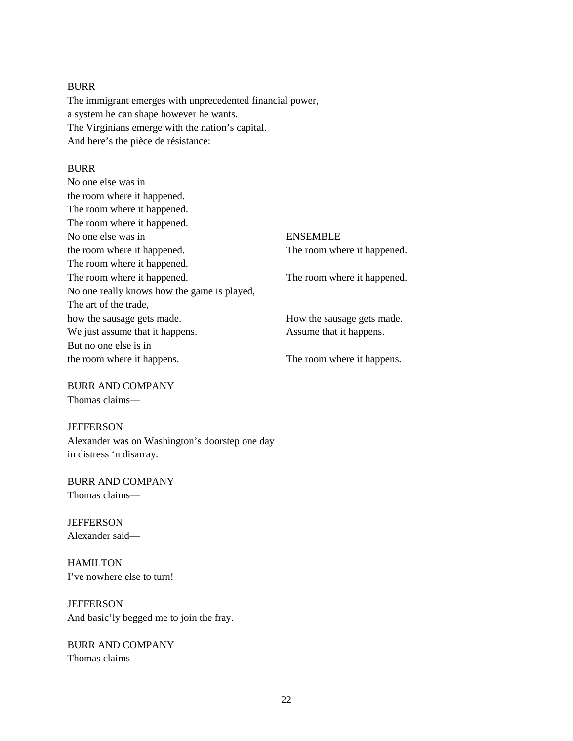#### BURR

The immigrant emerges with unprecedented financial power, a system he can shape however he wants. The Virginians emerge with the nation's capital. And here's the pièce de résistance:

#### BURR

| No one else was in                          |                             |
|---------------------------------------------|-----------------------------|
| the room where it happened.                 |                             |
| The room where it happened.                 |                             |
| The room where it happened.                 |                             |
| No one else was in                          | <b>ENSEMBLE</b>             |
| the room where it happened.                 | The room where it happened. |
| The room where it happened.                 |                             |
| The room where it happened.                 | The room where it happened. |
| No one really knows how the game is played, |                             |
| The art of the trade,                       |                             |
| how the sausage gets made.                  | How the sausage gets made.  |
| We just assume that it happens.             | Assume that it happens.     |
| But no one else is in                       |                             |
| the room where it happens.                  | The room where it happens.  |

BURR AND COMPANY Thomas claims—

#### **JEFFERSON**

Alexander was on Washington's doorstep one day in distress 'n disarray.

BURR AND COMPANY Thomas claims—

**JEFFERSON** Alexander said—

**HAMILTON** I've nowhere else to turn!

**JEFFERSON** And basic'ly begged me to join the fray.

BURR AND COMPANY Thomas claims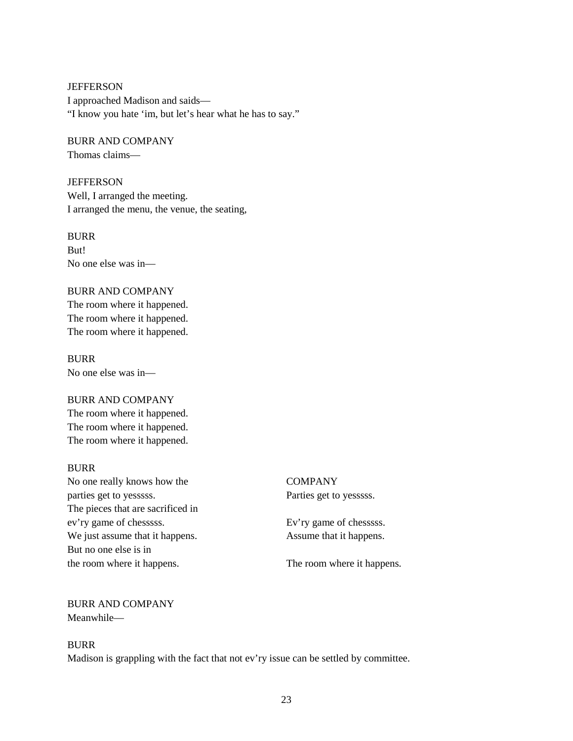**JEFFERSON** I approached Madison and saids— "I know you hate 'im, but let's hear what he has to say."

BURR AND COMPANY Thomas claims—

**JEFFERSON** Well, I arranged the meeting. I arranged the menu, the venue, the seating,

#### BURR

But! No one else was in—

### BURR AND COMPANY

The room where it happened. The room where it happened. The room where it happened.

BURR No one else was in—

### BURR AND COMPANY

The room where it happened. The room where it happened. The room where it happened.

### BURR

No one really knows how the parties get to yesssss. The pieces that are sacrificed in ev'ry game of chesssss. We just assume that it happens. But no one else is in the room where it happens.

**COMPANY** Parties get to yesssss.

Ev'ry game of chesssss. Assume that it happens.

The room where it happens.

### BURR AND COMPANY Meanwhile—

#### BURR

Madison is grappling with the fact that not ev'ry issue can be settled by committee.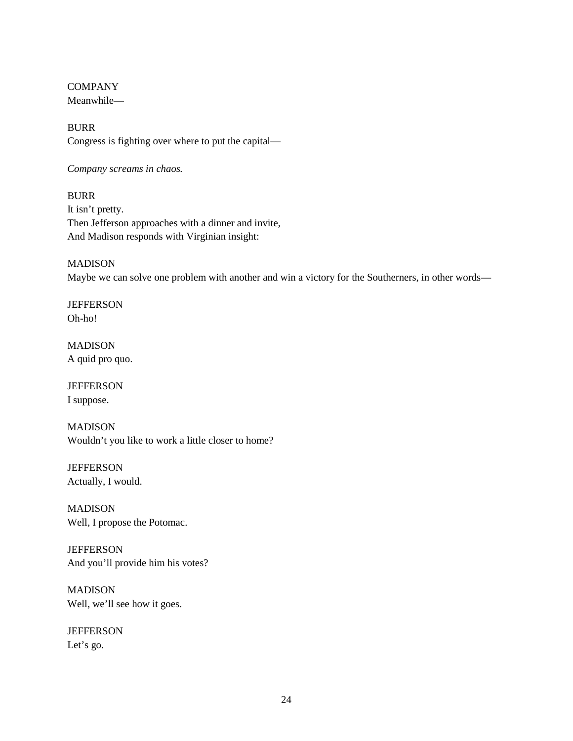**COMPANY** Meanwhile—

BURR Congress is fighting over where to put the capital—

*Company screams in chaos.* 

BURR It isn't pretty. Then Jefferson approaches with a dinner and invite, And Madison responds with Virginian insight:

MADISON Maybe we can solve one problem with another and win a victory for the Southerners, in other words—

**JEFFERSON** Oh-ho!

MADISON A quid pro quo.

**JEFFERSON** I suppose.

MADISON Wouldn't you like to work a little closer to home?

JEFFERSON Actually, I would.

MADISON Well, I propose the Potomac.

**JEFFERSON** And you'll provide him his votes?

MADISON Well, we'll see how it goes.

**JEFFERSON** Let's go.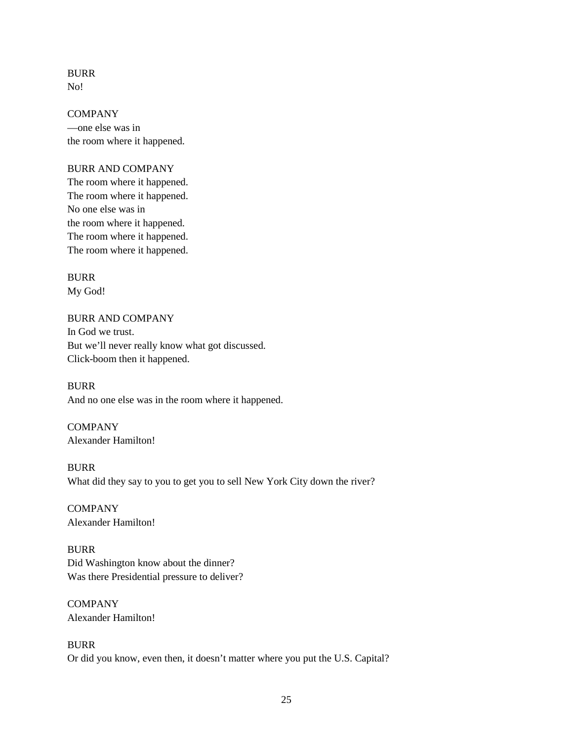BURR

No!

**COMPANY** —one else was in the room where it happened.

#### BURR AND COMPANY

The room where it happened. The room where it happened. No one else was in the room where it happened. The room where it happened. The room where it happened.

BURR My God!

BURR AND COMPANY In God we trust. But we'll never really know what got discussed. Click-boom then it happened.

BURR And no one else was in the room where it happened.

**COMPANY** Alexander Hamilton!

BURR What did they say to you to get you to sell New York City down the river?

**COMPANY** Alexander Hamilton!

BURR Did Washington know about the dinner? Was there Presidential pressure to deliver?

**COMPANY** Alexander Hamilton!

BURR Or did you know, even then, it doesn't matter where you put the U.S. Capital?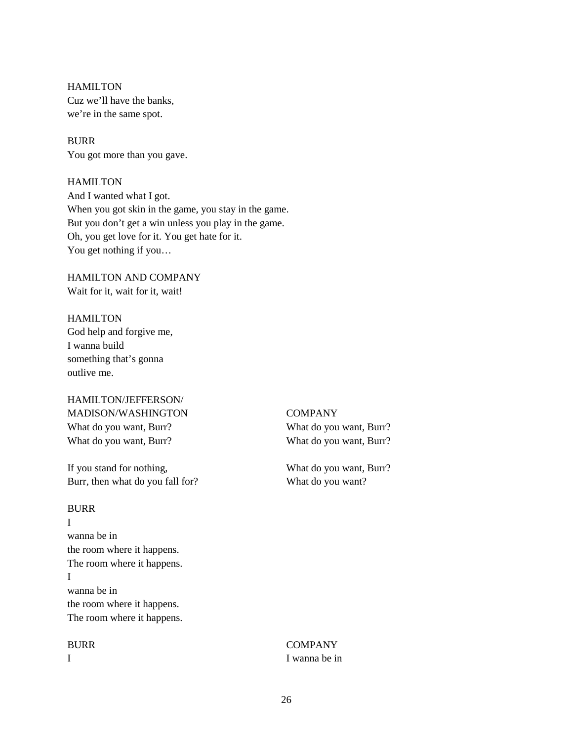**HAMILTON** Cuz we'll have the banks, we're in the same spot.

BURR You got more than you gave.

#### **HAMILTON**

And I wanted what I got. When you got skin in the game, you stay in the game. But you don't get a win unless you play in the game. Oh, you get love for it. You get hate for it. You get nothing if you...

HAMILTON AND COMPANY Wait for it, wait for it, wait!

#### **HAMILTON**

God help and forgive me, I wanna build something that's gonna outlive me.

#### HAMILTON/JEFFERSON/

MADISON/WASHINGTON What do you want, Burr? What do you want, Burr?

If you stand for nothing, Burr, then what do you fall for?

#### BURR

I wanna be in the room where it happens. The room where it happens. I wanna be in the room where it happens. The room where it happens.

### BURR

I

### **COMPANY**

What do you want, Burr? What do you want, Burr?

What do you want, Burr? What do you want?

**COMPANY** I wanna be in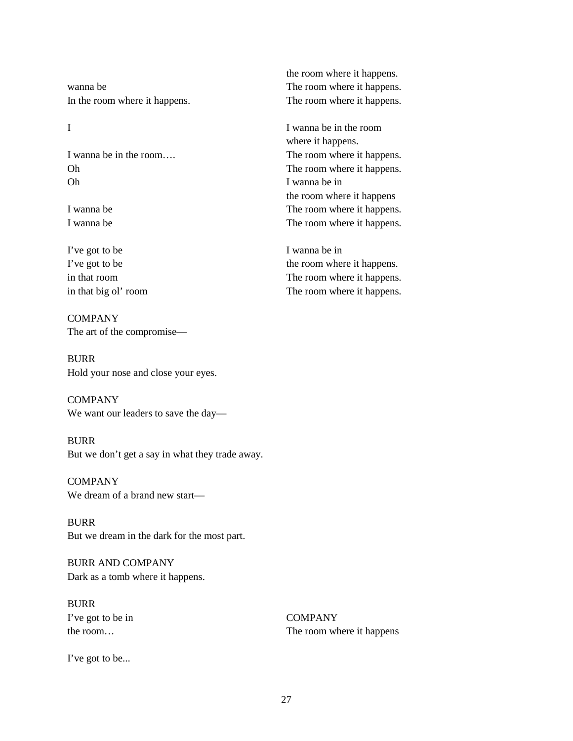wanna be In the room where it happens.

### I

I wanna be in the room…. Oh Oh

I wanna be I wanna be

I've got to be I've got to be in that room in that big ol' room

**COMPANY** The art of the compromise—

BURR Hold your nose and close your eyes.

**COMPANY** We want our leaders to save the day—

BURR But we don't get a say in what they trade away.

**COMPANY** We dream of a brand new start—

BURR But we dream in the dark for the most part.

BURR AND COMPANY Dark as a tomb where it happens.

BURR I've got to be in the room…

I've got to be...

the room where it happens. The room where it happens. The room where it happens.

I wanna be in the room where it happens. The room where it happens. The room where it happens. I wanna be in the room where it happens The room where it happens. The room where it happens.

I wanna be in the room where it happens. The room where it happens. The room where it happens.

**COMPANY** The room where it happens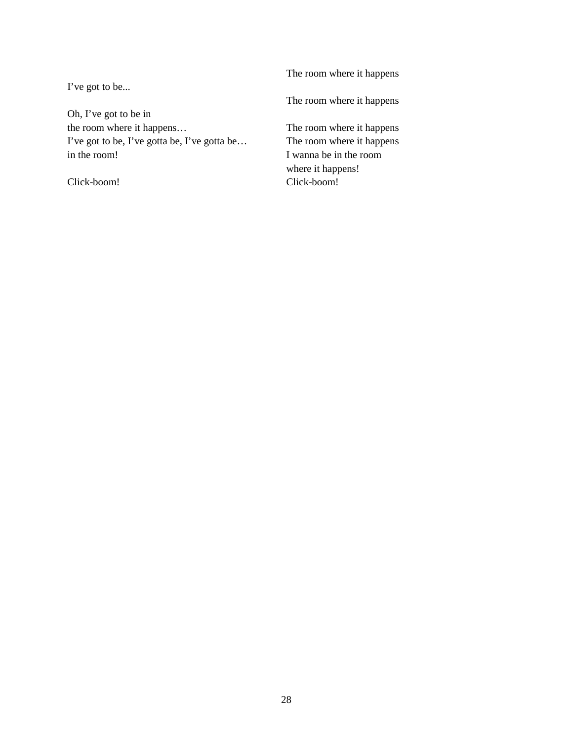The room where it happens

I've got to be...

Oh, I've got to be in the room where it happens… I've got to be, I've gotta be, I've gotta be… in the room!

Click-boom!

The room where it happens

The room where it happens The room where it happens I wanna be in the room where it happens! Click-boom!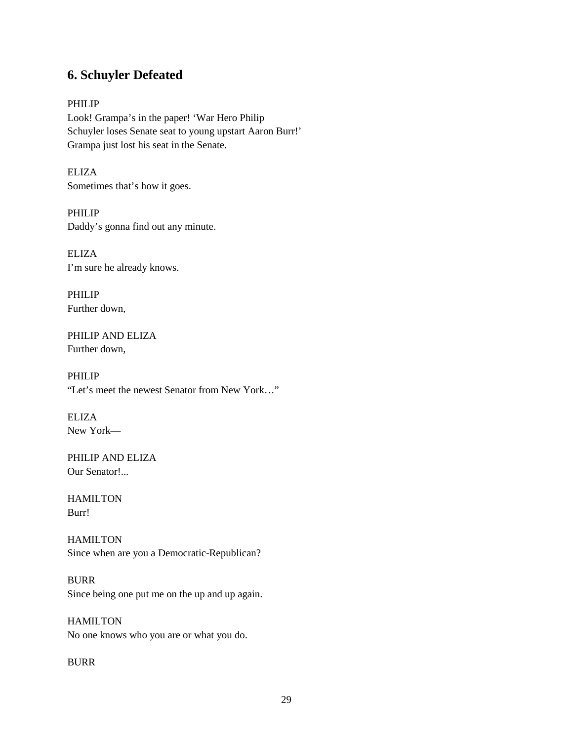### **6. Schuyler Defeated**

### PHILIP

Look! Grampa's in the paper! 'War Hero Philip Schuyler loses Senate seat to young upstart Aaron Burr!' Grampa just lost his seat in the Senate.

ELIZA Sometimes that's how it goes.

PHILIP Daddy's gonna find out any minute.

ELIZA I'm sure he already knows.

PHILIP Further down,

PHILIP AND ELIZA Further down,

PHILIP "Let's meet the newest Senator from New York…"

ELIZA New York—

PHILIP AND ELIZA Our Senator!...

**HAMILTON** Burr!

**HAMILTON** Since when are you a Democratic-Republican?

BURR Since being one put me on the up and up again.

**HAMILTON** No one knows who you are or what you do.

BURR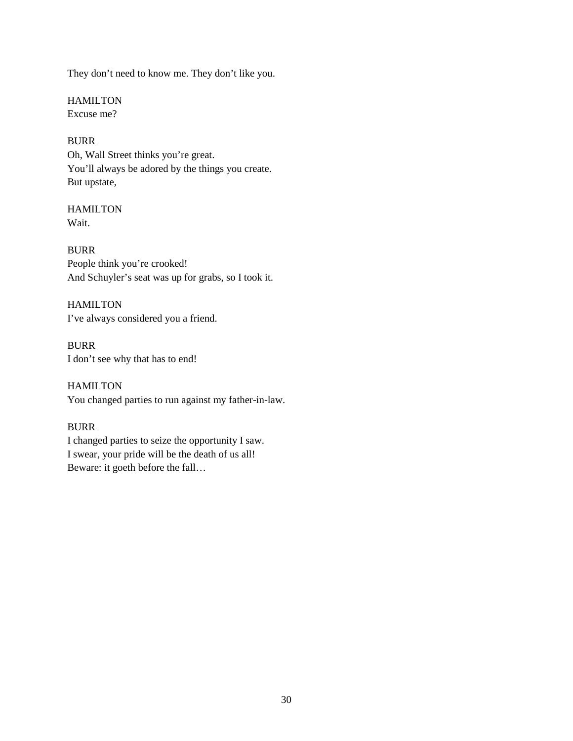They don't need to know me. They don't like you.

**HAMILTON** Excuse me?

### BURR

Oh, Wall Street thinks you're great. You'll always be adored by the things you create. But upstate,

### **HAMILTON**

Wait.

### BURR

People think you're crooked! And Schuyler's seat was up for grabs, so I took it.

### **HAMILTON**

I've always considered you a friend.

BURR I don't see why that has to end!

**HAMILTON** You changed parties to run against my father-in-law.

### BURR

I changed parties to seize the opportunity I saw. I swear, your pride will be the death of us all! Beware: it goeth before the fall…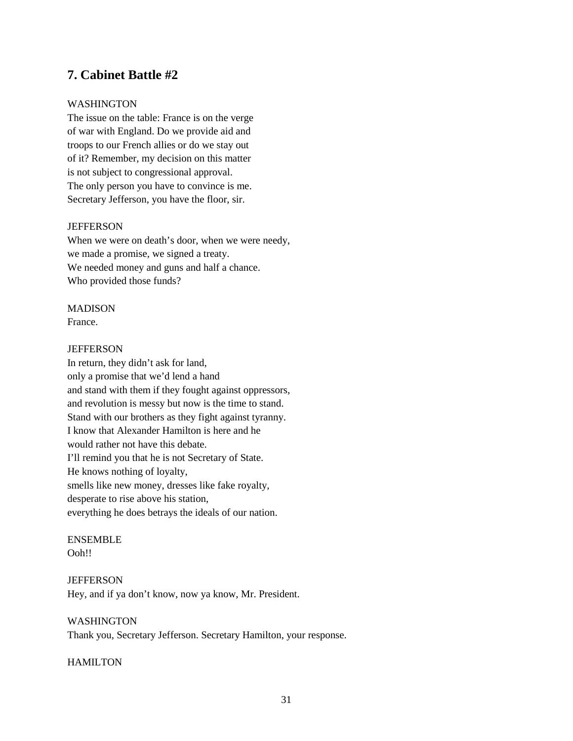### **7. Cabinet Battle #2**

### WASHINGTON

The issue on the table: France is on the verge of war with England. Do we provide aid and troops to our French allies or do we stay out of it? Remember, my decision on this matter is not subject to congressional approval. The only person you have to convince is me. Secretary Jefferson, you have the floor, sir.

### **JEFFERSON**

When we were on death's door, when we were needy, we made a promise, we signed a treaty. We needed money and guns and half a chance. Who provided those funds?

### MADISON

France.

### **JEFFERSON**

In return, they didn't ask for land, only a promise that we'd lend a hand and stand with them if they fought against oppressors, and revolution is messy but now is the time to stand. Stand with our brothers as they fight against tyranny. I know that Alexander Hamilton is here and he would rather not have this debate. I'll remind you that he is not Secretary of State. He knows nothing of loyalty, smells like new money, dresses like fake royalty, desperate to rise above his station, everything he does betrays the ideals of our nation.

### ENSEMBLE

Ooh!!

### **JEFFERSON**

Hey, and if ya don't know, now ya know, Mr. President.

### WASHINGTON

Thank you, Secretary Jefferson. Secretary Hamilton, your response.

### **HAMILTON**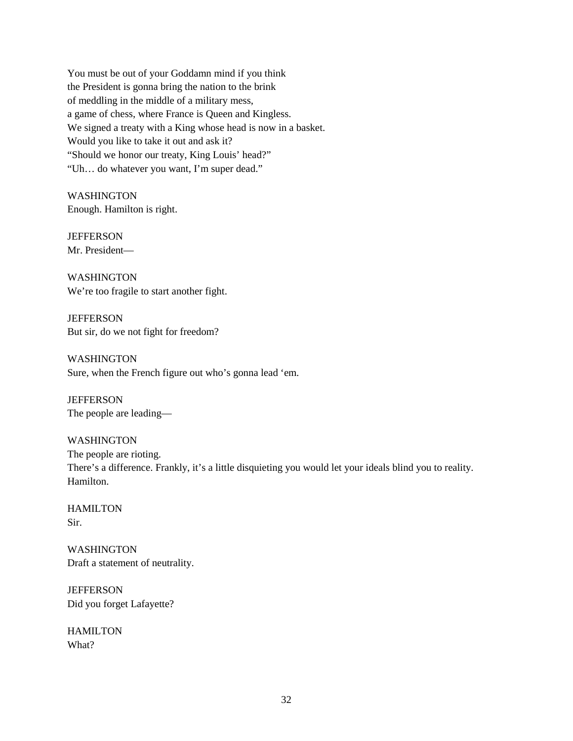You must be out of your Goddamn mind if you think the President is gonna bring the nation to the brink of meddling in the middle of a military mess, a game of chess, where France is Queen and Kingless. We signed a treaty with a King whose head is now in a basket. Would you like to take it out and ask it? "Should we honor our treaty, King Louis' head?" "Uh… do whatever you want, I'm super dead."

WASHINGTON Enough. Hamilton is right.

**JEFFERSON** Mr. President—

WASHINGTON We're too fragile to start another fight.

**JEFFERSON** But sir, do we not fight for freedom?

WASHINGTON Sure, when the French figure out who's gonna lead 'em.

**JEFFERSON** The people are leading—

WASHINGTON The people are rioting. There's a difference. Frankly, it's a little disquieting you would let your ideals blind you to reality. Hamilton.

**HAMILTON** Sir.

WASHINGTON Draft a statement of neutrality.

**JEFFERSON** Did you forget Lafayette?

HAMILTON What?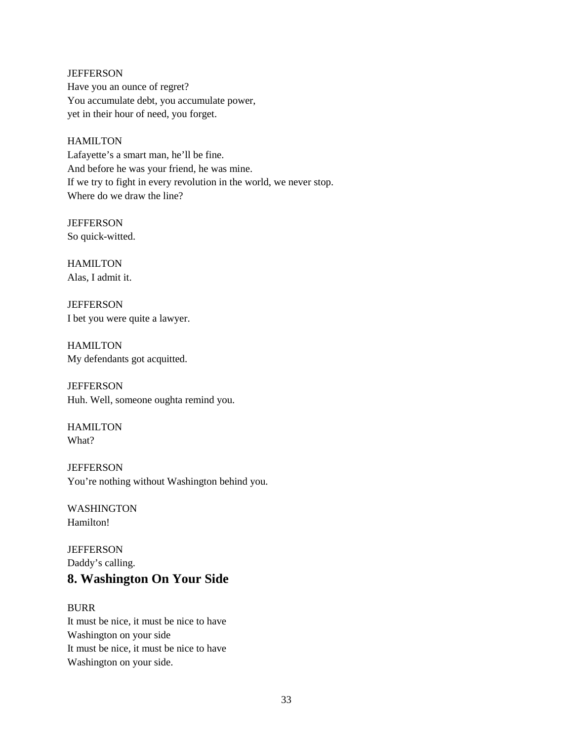**JEFFERSON** Have you an ounce of regret? You accumulate debt, you accumulate power, yet in their hour of need, you forget.

### HAMILTON

Lafayette's a smart man, he'll be fine. And before he was your friend, he was mine. If we try to fight in every revolution in the world, we never stop. Where do we draw the line?

**JEFFERSON** So quick-witted.

**HAMILTON** Alas, I admit it.

**JEFFERSON** I bet you were quite a lawyer.

**HAMILTON** My defendants got acquitted.

**JEFFERSON** Huh. Well, someone oughta remind you.

**HAMILTON** What?

**JEFFERSON** You're nothing without Washington behind you.

WASHINGTON Hamilton!

**JEFFERSON** Daddy's calling. **8. Washington On Your Side**

### BURR

It must be nice, it must be nice to have Washington on your side It must be nice, it must be nice to have Washington on your side.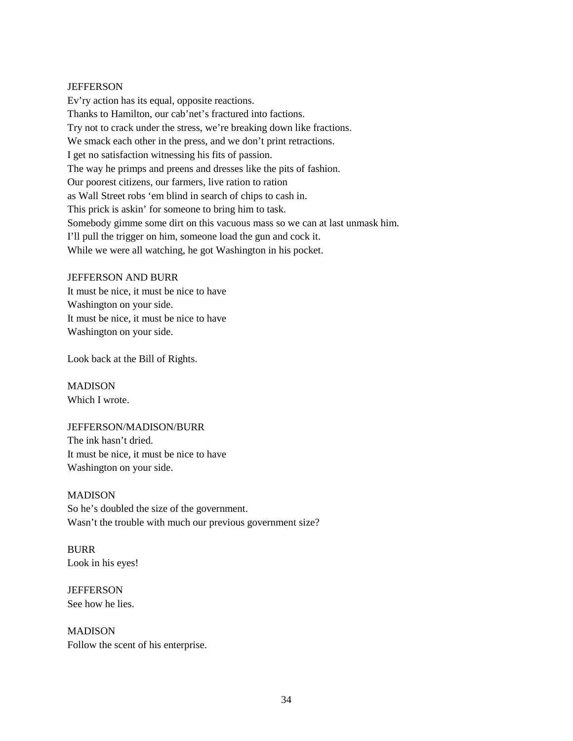#### **JEFFERSON**

Ev'ry action has its equal, opposite reactions. Thanks to Hamilton, our cab'net's fractured into factions. Try not to crack under the stress, we're breaking down like fractions. We smack each other in the press, and we don't print retractions. I get no satisfaction witnessing his fits of passion. The way he primps and preens and dresses like the pits of fashion. Our poorest citizens, our farmers, live ration to ration as Wall Street robs 'em blind in search of chips to cash in. This prick is askin' for someone to bring him to task. Somebody gimme some dirt on this vacuous mass so we can at last unmask him. I'll pull the trigger on him, someone load the gun and cock it. While we were all watching, he got Washington in his pocket.

#### JEFFERSON AND BURR

It must be nice, it must be nice to have Washington on your side. It must be nice, it must be nice to have Washington on your side.

Look back at the Bill of Rights.

MADISON Which I wrote.

#### JEFFERSON/MADISON/BURR

The ink hasn't dried. It must be nice, it must be nice to have Washington on your side.

### MADISON

So he's doubled the size of the government. Wasn't the trouble with much our previous government size?

BURR Look in his eyes!

**JEFFERSON** See how he lies.

MADISON Follow the scent of his enterprise.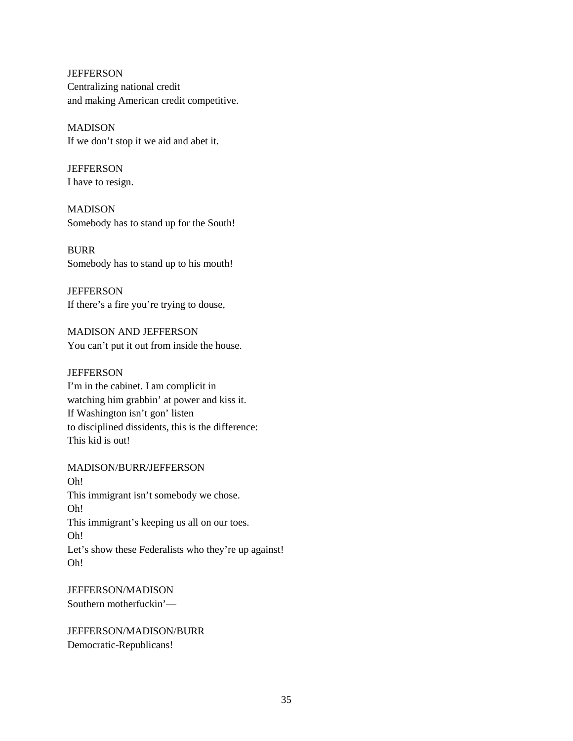**JEFFERSON** Centralizing national credit and making American credit competitive.

MADISON If we don't stop it we aid and abet it.

**JEFFERSON** I have to resign.

MADISON Somebody has to stand up for the South!

BURR Somebody has to stand up to his mouth!

**JEFFERSON** If there's a fire you're trying to douse,

MADISON AND JEFFERSON You can't put it out from inside the house.

### **JEFFERSON**

I'm in the cabinet. I am complicit in watching him grabbin' at power and kiss it. If Washington isn't gon' listen to disciplined dissidents, this is the difference: This kid is out!

MADISON/BURR/JEFFERSON Oh! This immigrant isn't somebody we chose. Oh! This immigrant's keeping us all on our toes. Oh! Let's show these Federalists who they're up against! Oh!

JEFFERSON/MADISON Southern motherfuckin'—

JEFFERSON/MADISON/BURR Democratic-Republicans!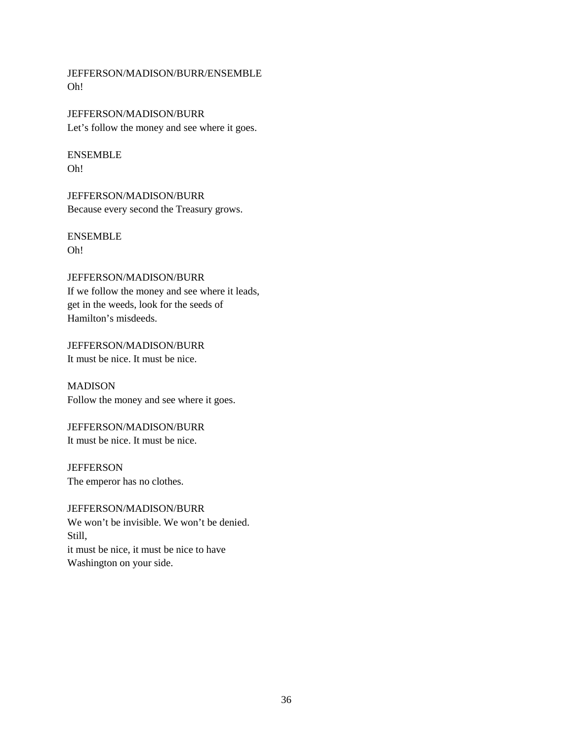JEFFERSON/MADISON/BURR/ENSEMBLE Oh!

JEFFERSON/MADISON/BURR Let's follow the money and see where it goes.

ENSEMBLE Oh!

JEFFERSON/MADISON/BURR Because every second the Treasury grows.

ENSEMBLE Oh!

### JEFFERSON/MADISON/BURR

If we follow the money and see where it leads, get in the weeds, look for the seeds of Hamilton's misdeeds.

JEFFERSON/MADISON/BURR It must be nice. It must be nice.

MADISON Follow the money and see where it goes.

JEFFERSON/MADISON/BURR It must be nice. It must be nice.

**JEFFERSON** The emperor has no clothes.

JEFFERSON/MADISON/BURR We won't be invisible. We won't be denied. Still, it must be nice, it must be nice to have Washington on your side.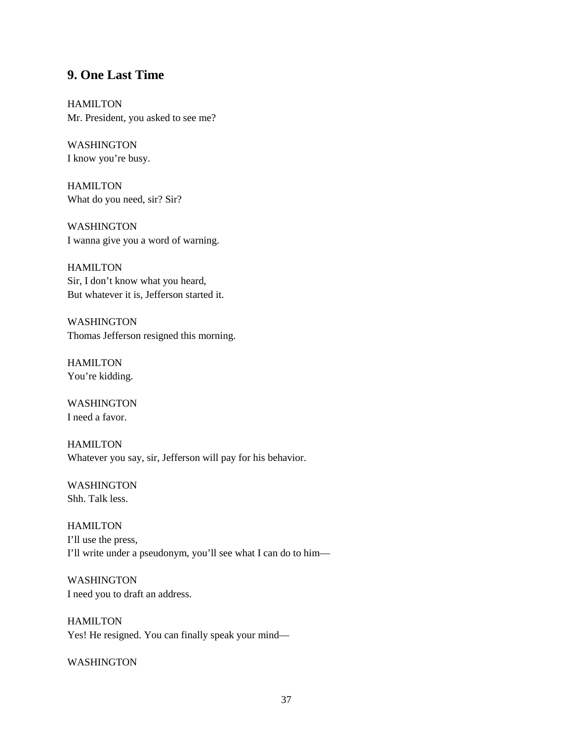# **9. One Last Time**

**HAMILTON** Mr. President, you asked to see me?

WASHINGTON I know you're busy.

**HAMILTON** What do you need, sir? Sir?

WASHINGTON I wanna give you a word of warning.

**HAMILTON** Sir, I don't know what you heard, But whatever it is, Jefferson started it.

WASHINGTON Thomas Jefferson resigned this morning.

**HAMILTON** You're kidding.

WASHINGTON I need a favor.

**HAMILTON** Whatever you say, sir, Jefferson will pay for his behavior.

WASHINGTON Shh. Talk less.

**HAMILTON** I'll use the press, I'll write under a pseudonym, you'll see what I can do to him—

WASHINGTON I need you to draft an address.

**HAMILTON** Yes! He resigned. You can finally speak your mind—

## WASHINGTON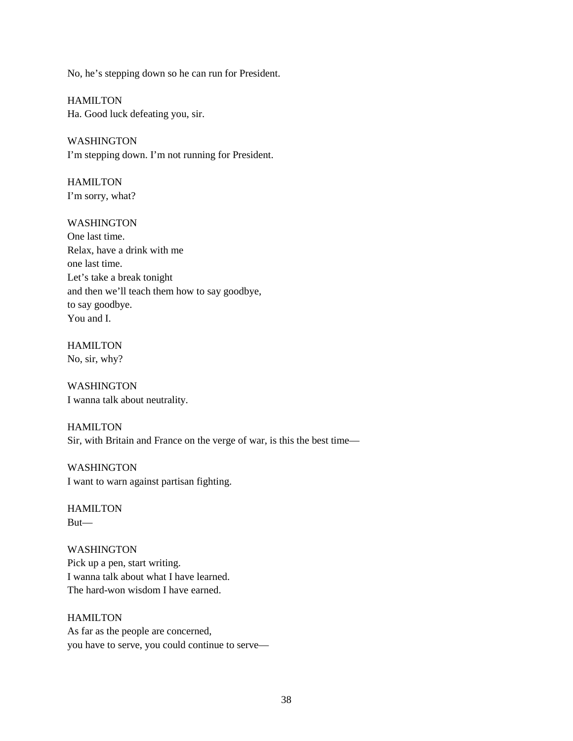No, he's stepping down so he can run for President.

**HAMILTON** Ha. Good luck defeating you, sir.

WASHINGTON I'm stepping down. I'm not running for President.

**HAMILTON** I'm sorry, what?

WASHINGTON One last time. Relax, have a drink with me one last time. Let's take a break tonight and then we'll teach them how to say goodbye, to say goodbye. You and I.

**HAMILTON** No, sir, why?

WASHINGTON I wanna talk about neutrality.

**HAMILTON** Sir, with Britain and France on the verge of war, is this the best time—

WASHINGTON I want to warn against partisan fighting.

**HAMILTON** But—

WASHINGTON Pick up a pen, start writing. I wanna talk about what I have learned. The hard-won wisdom I have earned.

**HAMILTON** As far as the people are concerned, you have to serve, you could continue to serve—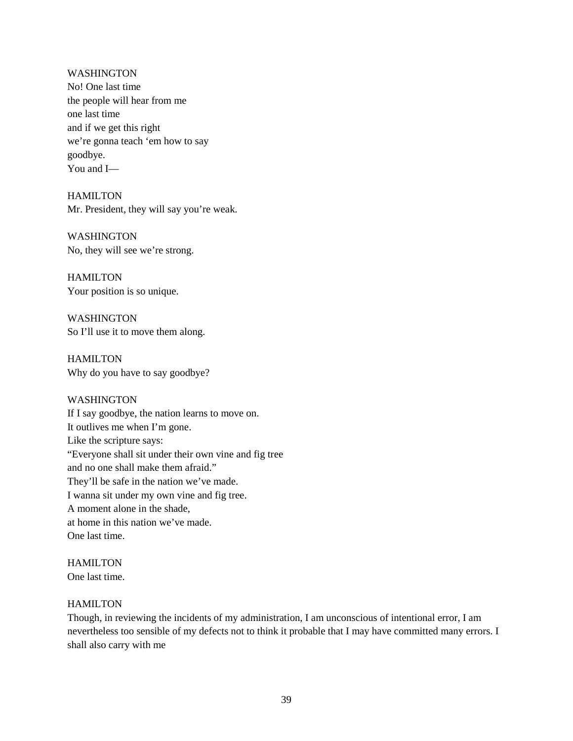#### WASHINGTON

No! One last time the people will hear from me one last time and if we get this right we're gonna teach 'em how to say goodbye. You and I—

HAMILTON

Mr. President, they will say you're weak.

WASHINGTON No, they will see we're strong.

**HAMILTON** Your position is so unique.

WASHINGTON So I'll use it to move them along.

**HAMILTON** Why do you have to say goodbye?

## WASHINGTON

If I say goodbye, the nation learns to move on. It outlives me when I'm gone. Like the scripture says: "Everyone shall sit under their own vine and fig tree and no one shall make them afraid." They'll be safe in the nation we've made. I wanna sit under my own vine and fig tree. A moment alone in the shade, at home in this nation we've made. One last time.

## HAMILTON

One last time.

#### **HAMILTON**

Though, in reviewing the incidents of my administration, I am unconscious of intentional error, I am nevertheless too sensible of my defects not to think it probable that I may have committed many errors. I shall also carry with me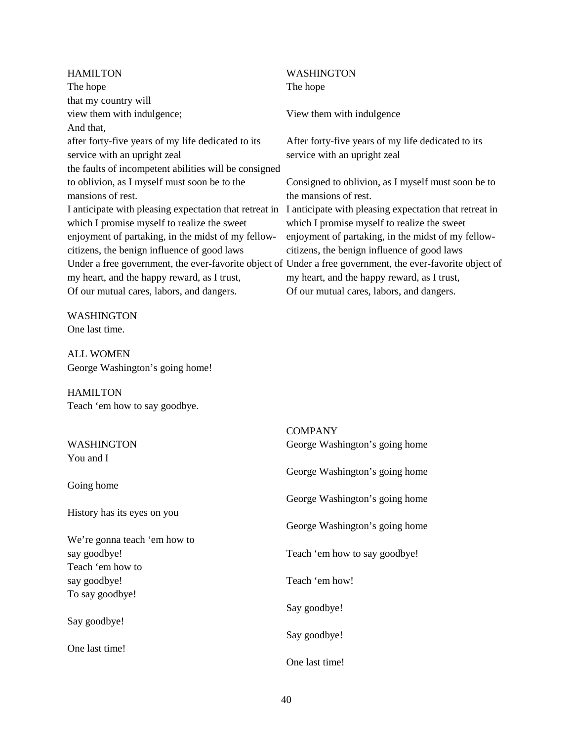| <b>WASHINGTON</b>                                                                                             |
|---------------------------------------------------------------------------------------------------------------|
| The hope                                                                                                      |
|                                                                                                               |
| View them with indulgence                                                                                     |
|                                                                                                               |
| After forty-five years of my life dedicated to its                                                            |
| service with an upright zeal                                                                                  |
|                                                                                                               |
| Consigned to oblivion, as I myself must soon be to                                                            |
| the mansions of rest.                                                                                         |
| I anticipate with pleasing expectation that retreat in I anticipate with pleasing expectation that retreat in |
| which I promise myself to realize the sweet                                                                   |
| enjoyment of partaking, in the midst of my fellow-                                                            |
| citizens, the benign influence of good laws                                                                   |
| Under a free government, the ever-favorite object of Under a free government, the ever-favorite object of     |
| my heart, and the happy reward, as I trust,                                                                   |
| Of our mutual cares, labors, and dangers.                                                                     |
|                                                                                                               |

# WASHINGTON

One last time.

ALL WOMEN George Washington's going home!

# HAMILTON

Teach 'em how to say goodbye.

|                              | <b>COMPANY</b>                 |
|------------------------------|--------------------------------|
| <b>WASHINGTON</b>            | George Washington's going home |
| You and I                    |                                |
|                              | George Washington's going home |
| Going home                   |                                |
|                              | George Washington's going home |
| History has its eyes on you  |                                |
|                              | George Washington's going home |
| We're gonna teach 'em how to |                                |
| say goodbye!                 | Teach 'em how to say goodbye!  |
| Teach 'em how to             |                                |
| say goodbye!                 | Teach 'em how!                 |
| To say goodbye!              |                                |
|                              | Say goodbye!                   |
| Say goodbye!                 |                                |
|                              | Say goodbye!                   |
| One last time!               |                                |
|                              | One last time!                 |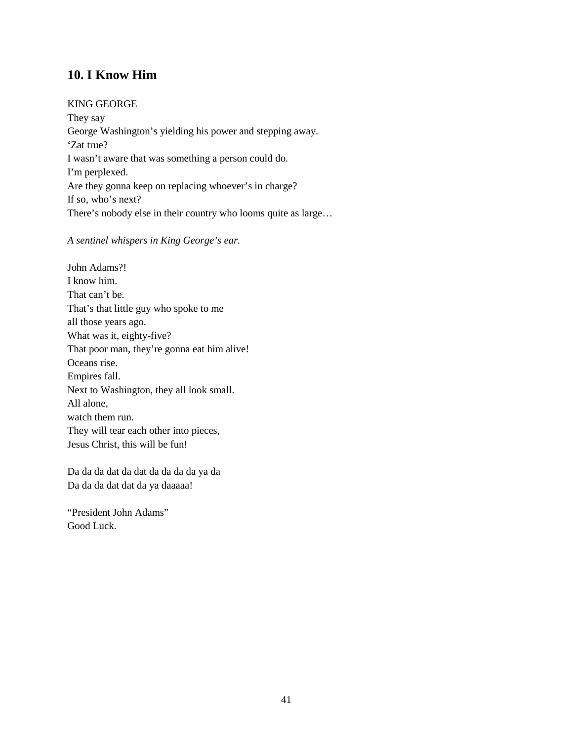# **10. I Know Him**

#### KING GEORGE

They say George Washington's yielding his power and stepping away. 'Zat true? I wasn't aware that was something a person could do. I'm perplexed. Are they gonna keep on replacing whoever's in charge? If so, who's next? There's nobody else in their country who looms quite as large…

#### *A sentinel whispers in King George's ear.*

John Adams?! I know him. That can't be. That's that little guy who spoke to me all those years ago. What was it, eighty-five? That poor man, they're gonna eat him alive! Oceans rise. Empires fall. Next to Washington, they all look small. All alone, watch them run. They will tear each other into pieces, Jesus Christ, this will be fun!

Da da da dat da dat da da da da ya da Da da da dat dat da ya daaaaa!

"President John Adams" Good Luck.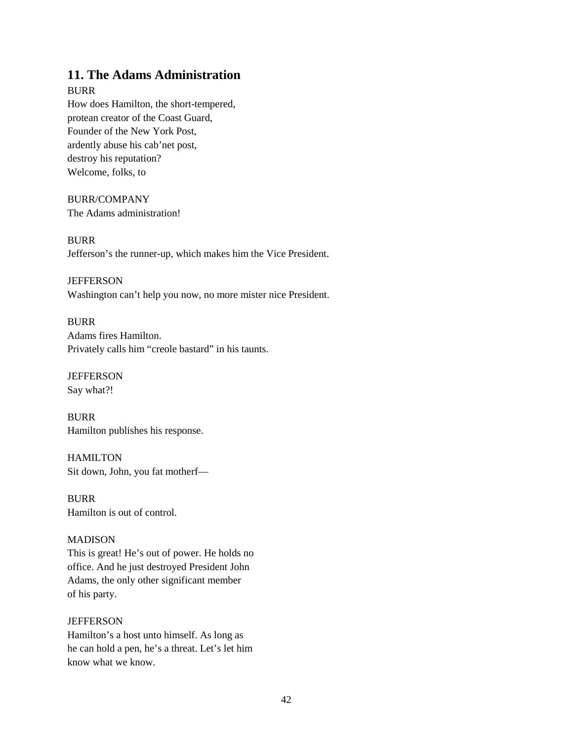# **11. The Adams Administration**

#### BURR

How does Hamilton, the short-tempered, protean creator of the Coast Guard, Founder of the New York Post, ardently abuse his cab'net post, destroy his reputation? Welcome, folks, to

BURR/COMPANY The Adams administration!

BURR Jefferson's the runner-up, which makes him the Vice President.

**JEFFERSON** 

Washington can't help you now, no more mister nice President.

BURR Adams fires Hamilton. Privately calls him "creole bastard" in his taunts.

**JEFFERSON** Say what?!

BURR Hamilton publishes his response.

**HAMILTON** Sit down, John, you fat motherf—

BURR Hamilton is out of control.

## MADISON

This is great! He's out of power. He holds no office. And he just destroyed President John Adams, the only other significant member of his party.

## **JEFFERSON**

Hamilton's a host unto himself. As long as he can hold a pen, he's a threat. Let's let him know what we know.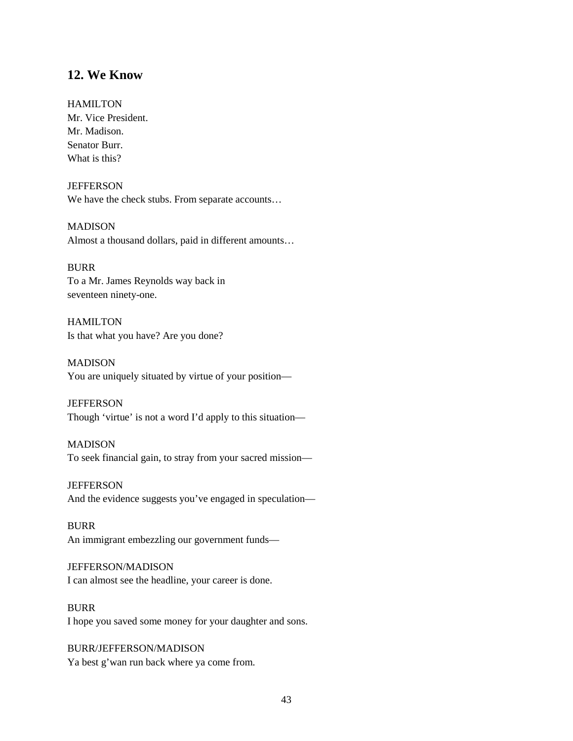# **12. We Know**

#### **HAMILTON**

Mr. Vice President. Mr. Madison. Senator Burr. What is this?

#### **JEFFERSON**

We have the check stubs. From separate accounts…

#### MADISON

Almost a thousand dollars, paid in different amounts…

# BURR

To a Mr. James Reynolds way back in seventeen ninety-one.

# HAMILTON Is that what you have? Are you done?

MADISON You are uniquely situated by virtue of your position—

# **JEFFERSON** Though 'virtue' is not a word I'd apply to this situation—

# MADISON To seek financial gain, to stray from your sacred mission—

**JEFFERSON** And the evidence suggests you've engaged in speculation—

# BURR

An immigrant embezzling our government funds—

# JEFFERSON/MADISON I can almost see the headline, your career is done.

#### BURR

I hope you saved some money for your daughter and sons.

# BURR/JEFFERSON/MADISON Ya best g'wan run back where ya come from.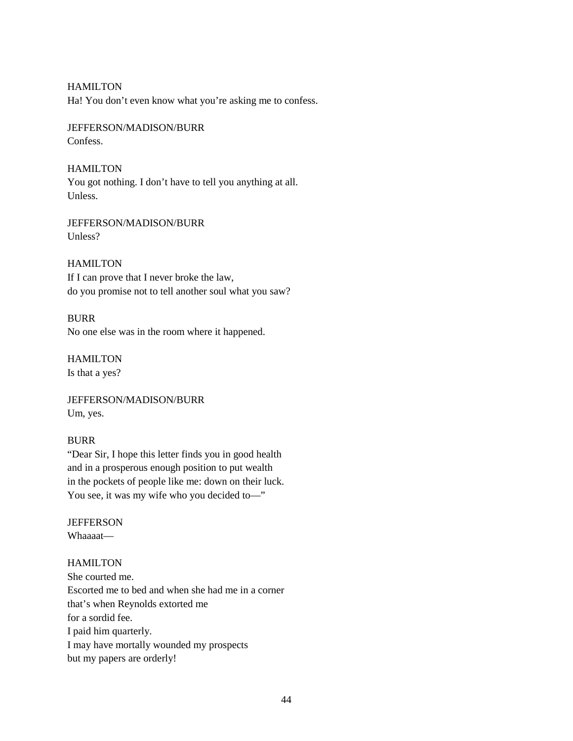**HAMILTON** 

Ha! You don't even know what you're asking me to confess.

JEFFERSON/MADISON/BURR Confess.

**HAMILTON** You got nothing. I don't have to tell you anything at all. Unless.

JEFFERSON/MADISON/BURR Unless?

#### **HAMILTON**

If I can prove that I never broke the law, do you promise not to tell another soul what you saw?

#### BURR

No one else was in the room where it happened.

HAMILTON Is that a yes?

JEFFERSON/MADISON/BURR Um, yes.

#### BURR

"Dear Sir, I hope this letter finds you in good health and in a prosperous enough position to put wealth in the pockets of people like me: down on their luck. You see, it was my wife who you decided to-"

#### **JEFFERSON**

Whaaaat—

## HAMILTON

She courted me. Escorted me to bed and when she had me in a corner that's when Reynolds extorted me for a sordid fee. I paid him quarterly. I may have mortally wounded my prospects but my papers are orderly!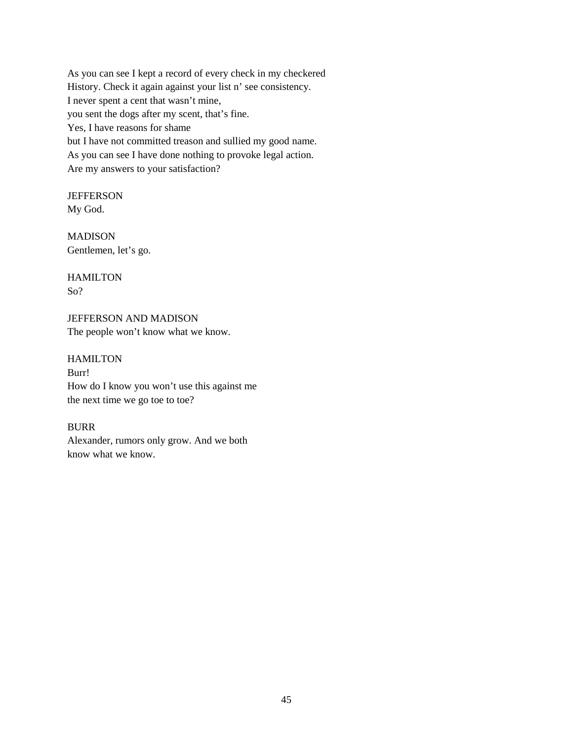As you can see I kept a record of every check in my checkered History. Check it again against your list n' see consistency. I never spent a cent that wasn't mine, you sent the dogs after my scent, that's fine. Yes, I have reasons for shame but I have not committed treason and sullied my good name. As you can see I have done nothing to provoke legal action. Are my answers to your satisfaction?

# **JEFFERSON**

My God.

MADISON Gentlemen, let's go.

# **HAMILTON**

So?

JEFFERSON AND MADISON The people won't know what we know.

HAMILTON Burr! How do I know you won't use this against me the next time we go toe to toe?

# BURR

Alexander, rumors only grow. And we both know what we know.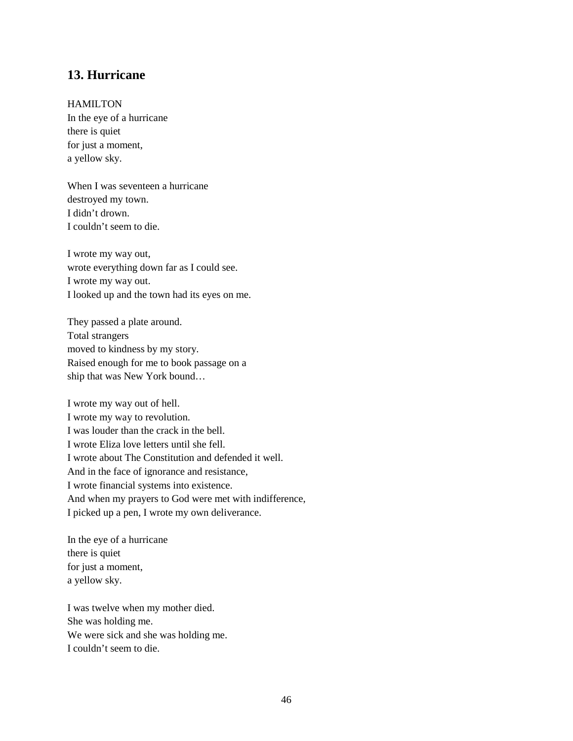# **13. Hurricane**

#### **HAMILTON**

In the eye of a hurricane there is quiet for just a moment, a yellow sky.

When I was seventeen a hurricane destroyed my town. I didn't drown. I couldn't seem to die.

I wrote my way out, wrote everything down far as I could see. I wrote my way out. I looked up and the town had its eyes on me.

They passed a plate around. Total strangers moved to kindness by my story. Raised enough for me to book passage on a ship that was New York bound…

I wrote my way out of hell. I wrote my way to revolution. I was louder than the crack in the bell. I wrote Eliza love letters until she fell. I wrote about The Constitution and defended it well. And in the face of ignorance and resistance, I wrote financial systems into existence. And when my prayers to God were met with indifference, I picked up a pen, I wrote my own deliverance.

In the eye of a hurricane there is quiet for just a moment, a yellow sky.

I was twelve when my mother died. She was holding me. We were sick and she was holding me. I couldn't seem to die.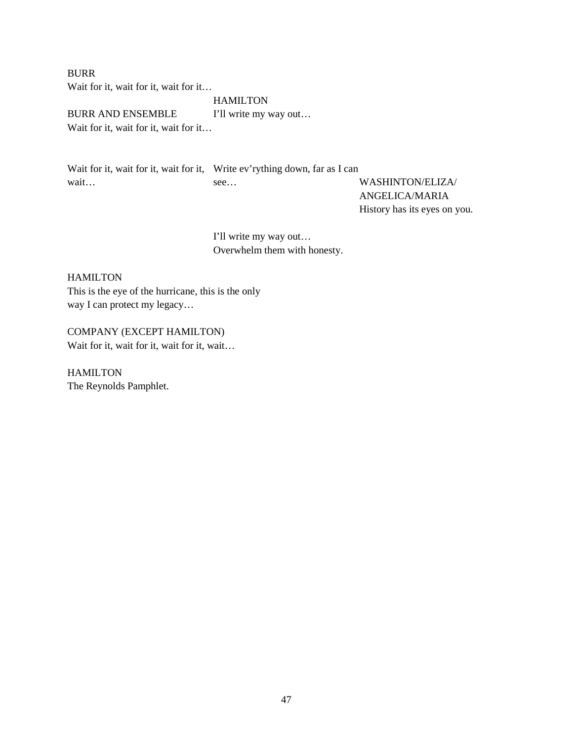BURR Wait for it, wait for it, wait for it…

**HAMILTON** 

BURR AND ENSEMBLE Wait for it, wait for it, wait for it… I'll write my way out…

Wait for it, wait for it, wait for it, Write ev'rything down, far as I can wait… see…

WASHINTON/ELIZA/ ANGELICA/MARIA History has its eyes on you.

I'll write my way out… Overwhelm them with honesty.

**HAMILTON** 

This is the eye of the hurricane, this is the only way I can protect my legacy…

COMPANY (EXCEPT HAMILTON) Wait for it, wait for it, wait for it, wait...

**HAMILTON** The Reynolds Pamphlet.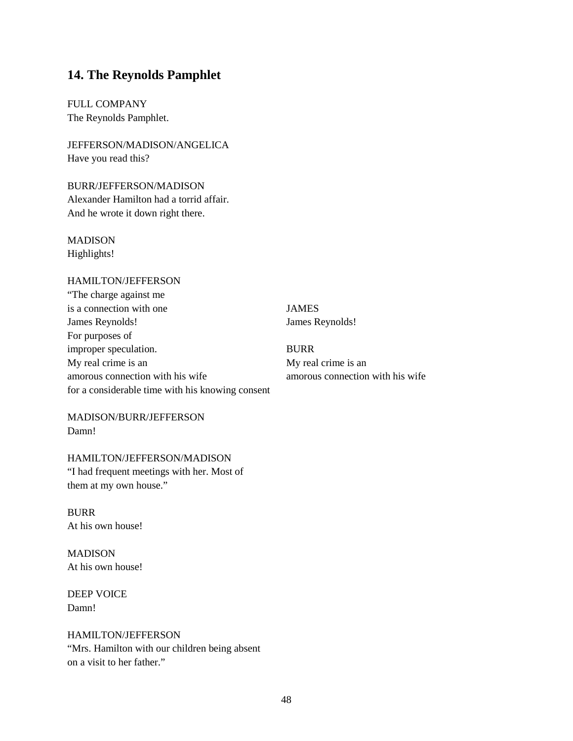# **14. The Reynolds Pamphlet**

FULL COMPANY The Reynolds Pamphlet.

JEFFERSON/MADISON/ANGELICA Have you read this?

BURR/JEFFERSON/MADISON Alexander Hamilton had a torrid affair. And he wrote it down right there.

MADISON Highlights!

#### HAMILTON/JEFFERSON

"The charge against me is a connection with one James Reynolds! For purposes of improper speculation. My real crime is an amorous connection with his wife for a considerable time with his knowing consent

JAMES James Reynolds!

BURR My real crime is an amorous connection with his wife

MADISON/BURR/JEFFERSON Damn!

HAMILTON/JEFFERSON/MADISON

"I had frequent meetings with her. Most of them at my own house."

BURR At his own house!

MADISON At his own house!

DEEP VOICE Damn!

HAMILTON/JEFFERSON "Mrs. Hamilton with our children being absent on a visit to her father."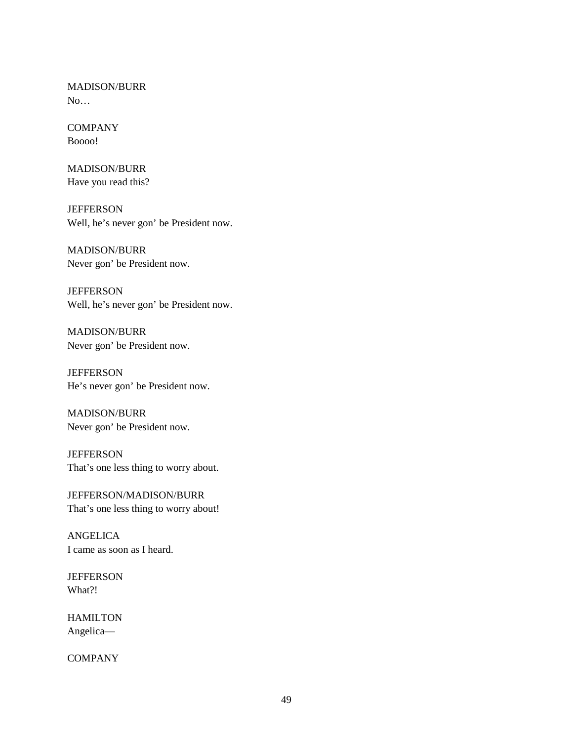MADISON/BURR No…

**COMPANY** Boooo!

MADISON/BURR Have you read this?

**JEFFERSON** Well, he's never gon' be President now.

MADISON/BURR Never gon' be President now.

**JEFFERSON** Well, he's never gon' be President now.

MADISON/BURR Never gon' be President now.

**JEFFERSON** He's never gon' be President now.

MADISON/BURR Never gon' be President now.

**JEFFERSON** That's one less thing to worry about.

JEFFERSON/MADISON/BURR That's one less thing to worry about!

ANGELICA I came as soon as I heard.

**JEFFERSON** What?!

**HAMILTON** Angelica—

**COMPANY**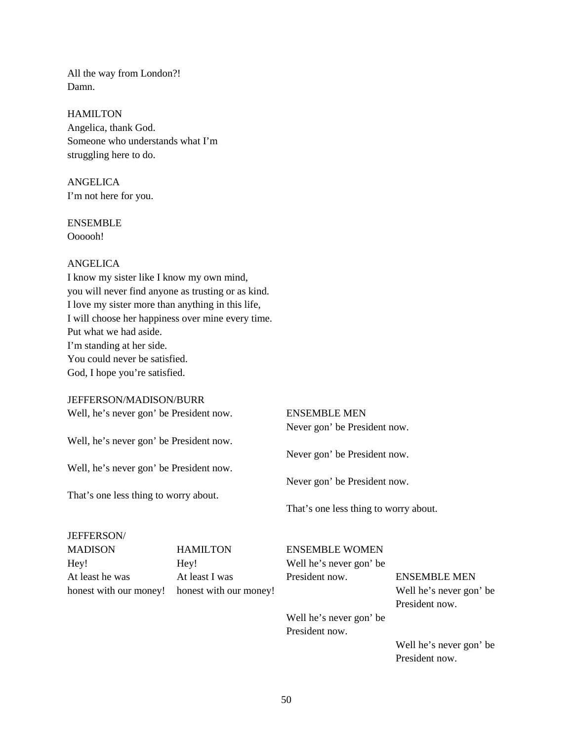All the way from London?! Damn.

**HAMILTON** Angelica, thank God. Someone who understands what I'm struggling here to do.

ANGELICA I'm not here for you.

ENSEMBLE Oooooh!

#### ANGELICA

I know my sister like I know my own mind, you will never find anyone as trusting or as kind. I love my sister more than anything in this life, I will choose her happiness over mine every time. Put what we had aside. I'm standing at her side. You could never be satisfied. God, I hope you're satisfied.

#### JEFFERSON/MADISON/BURR

Well, he's never gon' be President now.

Well, he's never gon' be President now.

#### ENSEMBLE MEN

Never gon' be President now.

Never gon' be President now.

Never gon' be President now.

Well, he's never gon' be President now.

That's one less thing to worry about.

That's one less thing to worry about.

#### JEFFERSON/

MADISON Hey! At least he was honest with our money!

HAMILTON Hey! At least I was honest with our money!

#### ENSEMBLE WOMEN

Well he's never gon' be President now.

ENSEMBLE MEN Well he's never gon' be President now.

Well he's never gon' be President now.

Well he's never gon' be President now.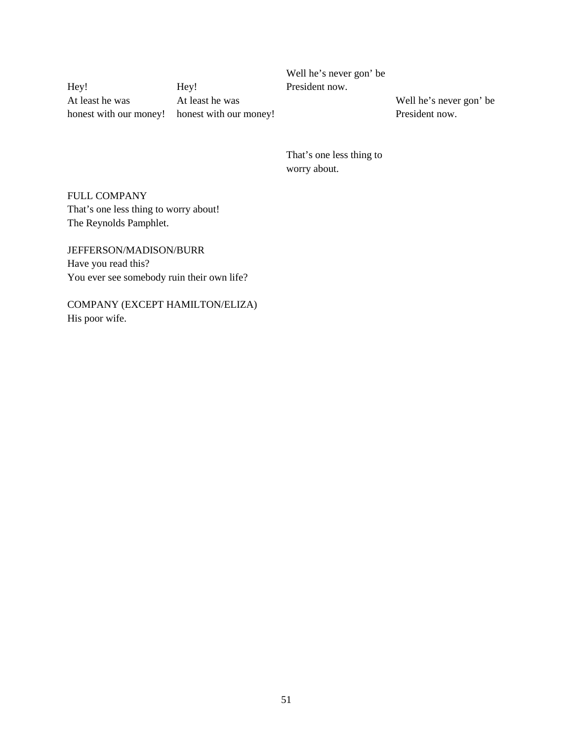Hey! At least he was honest with our money! honest with our money! Hey! At least he was

Well he's never gon' be President now.

Well he's never gon' be President now.

That's one less thing to worry about.

FULL COMPANY That's one less thing to worry about! The Reynolds Pamphlet.

JEFFERSON/MADISON/BURR Have you read this? You ever see somebody ruin their own life?

COMPANY (EXCEPT HAMILTON/ELIZA) His poor wife.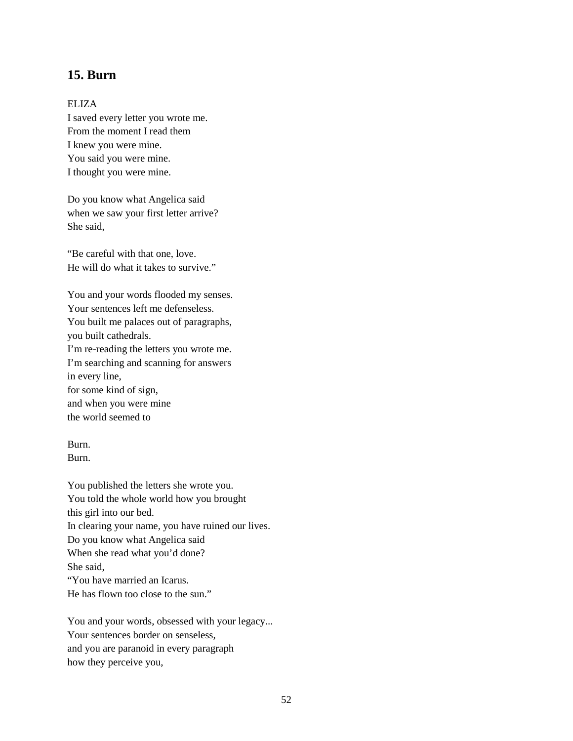# **15. Burn**

#### ELIZA

I saved every letter you wrote me. From the moment I read them I knew you were mine. You said you were mine. I thought you were mine.

Do you know what Angelica said when we saw your first letter arrive? She said,

"Be careful with that one, love. He will do what it takes to survive."

You and your words flooded my senses. Your sentences left me defenseless. You built me palaces out of paragraphs, you built cathedrals. I'm re-reading the letters you wrote me. I'm searching and scanning for answers in every line, for some kind of sign, and when you were mine the world seemed to

Burn.

Burn.

You published the letters she wrote you. You told the whole world how you brought this girl into our bed. In clearing your name, you have ruined our lives. Do you know what Angelica said When she read what you'd done? She said, "You have married an Icarus. He has flown too close to the sun."

You and your words, obsessed with your legacy... Your sentences border on senseless, and you are paranoid in every paragraph how they perceive you,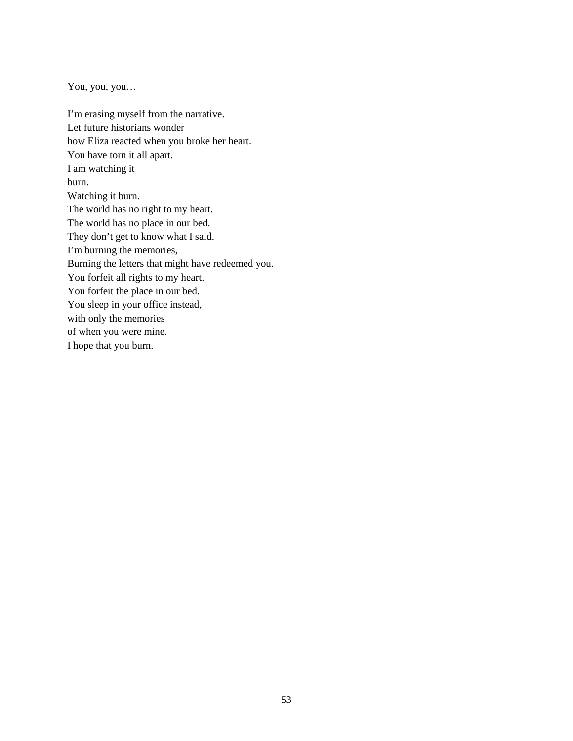You, you, you…

I'm erasing myself from the narrative. Let future historians wonder how Eliza reacted when you broke her heart. You have torn it all apart. I am watching it burn. Watching it burn. The world has no right to my heart. The world has no place in our bed. They don't get to know what I said. I'm burning the memories, Burning the letters that might have redeemed you. You forfeit all rights to my heart. You forfeit the place in our bed. You sleep in your office instead, with only the memories of when you were mine. I hope that you burn.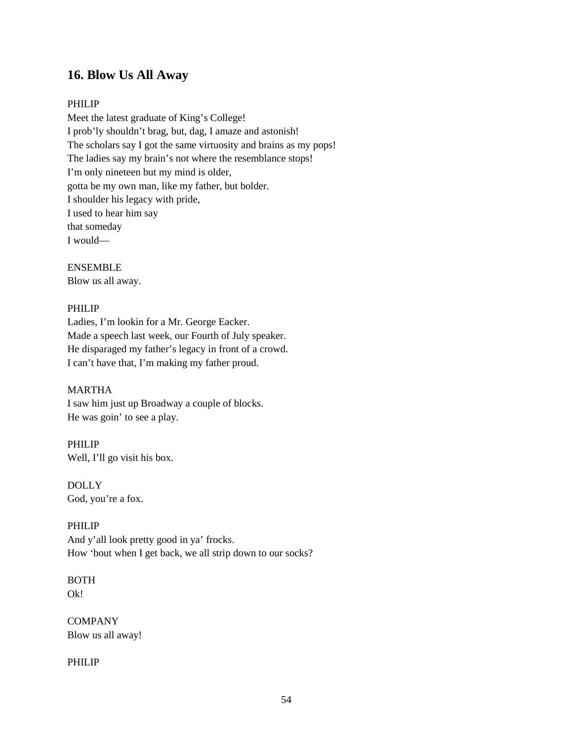# **16. Blow Us All Away**

#### PHILIP

Meet the latest graduate of King's College! I prob'ly shouldn't brag, but, dag, I amaze and astonish! The scholars say I got the same virtuosity and brains as my pops! The ladies say my brain's not where the resemblance stops! I'm only nineteen but my mind is older, gotta be my own man, like my father, but bolder. I shoulder his legacy with pride, I used to hear him say that someday I would—

ENSEMBLE Blow us all away.

#### PHILIP

Ladies, I'm lookin for a Mr. George Eacker. Made a speech last week, our Fourth of July speaker. He disparaged my father's legacy in front of a crowd. I can't have that, I'm making my father proud.

MARTHA I saw him just up Broadway a couple of blocks. He was goin' to see a play.

PHILIP Well, I'll go visit his box.

**DOLLY** God, you're a fox.

# PHILIP

And y'all look pretty good in ya' frocks. How 'bout when I get back, we all strip down to our socks?

BOTH  $Qk!$ 

**COMPANY** Blow us all away!

PHILIP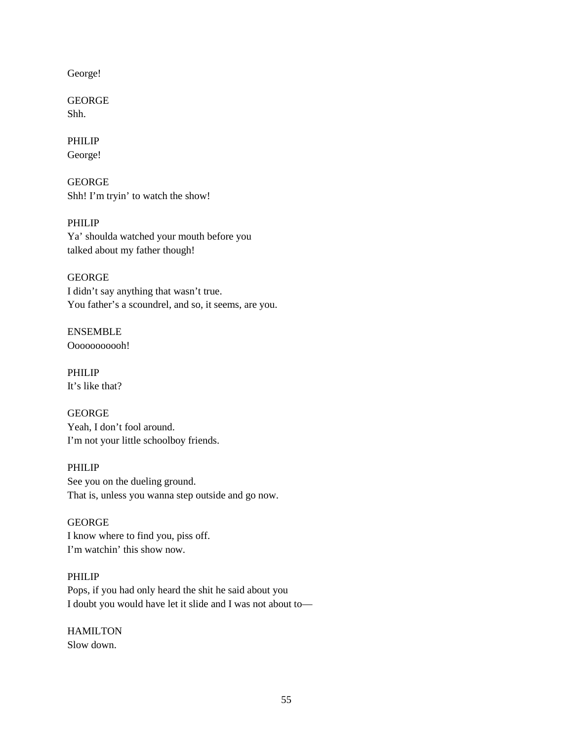George!

GEORGE Shh.

# PHILIP

George!

GEORGE Shh! I'm tryin' to watch the show!

# PHILIP

Ya' shoulda watched your mouth before you talked about my father though!

# GEORGE

I didn't say anything that wasn't true. You father's a scoundrel, and so, it seems, are you.

ENSEMBLE Ooooooooooh!

PHILIP It's like that?

GEORGE Yeah, I don't fool around. I'm not your little schoolboy friends.

## PHILIP

See you on the dueling ground. That is, unless you wanna step outside and go now.

## GEORGE

I know where to find you, piss off. I'm watchin' this show now.

## PHILIP

Pops, if you had only heard the shit he said about you I doubt you would have let it slide and I was not about to—

HAMILTON Slow down.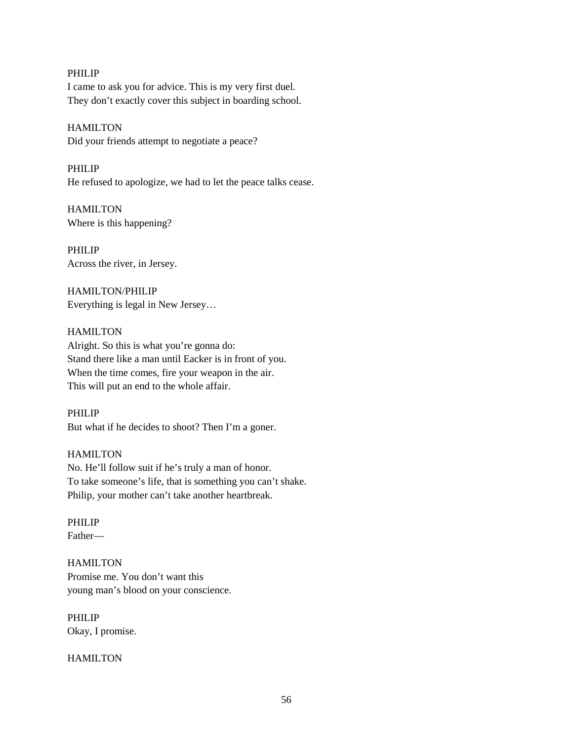PHILIP I came to ask you for advice. This is my very first duel. They don't exactly cover this subject in boarding school.

**HAMILTON** Did your friends attempt to negotiate a peace?

PHILIP He refused to apologize, we had to let the peace talks cease.

**HAMILTON** Where is this happening?

PHILIP Across the river, in Jersey.

HAMILTON/PHILIP Everything is legal in New Jersey…

HAMILTON Alright. So this is what you're gonna do: Stand there like a man until Eacker is in front of you. When the time comes, fire your weapon in the air. This will put an end to the whole affair.

PHILIP But what if he decides to shoot? Then I'm a goner.

**HAMILTON** No. He'll follow suit if he's truly a man of honor. To take someone's life, that is something you can't shake. Philip, your mother can't take another heartbreak.

PHILIP Father—

HAMILTON Promise me. You don't want this young man's blood on your conscience.

PHILIP Okay, I promise.

HAMILTON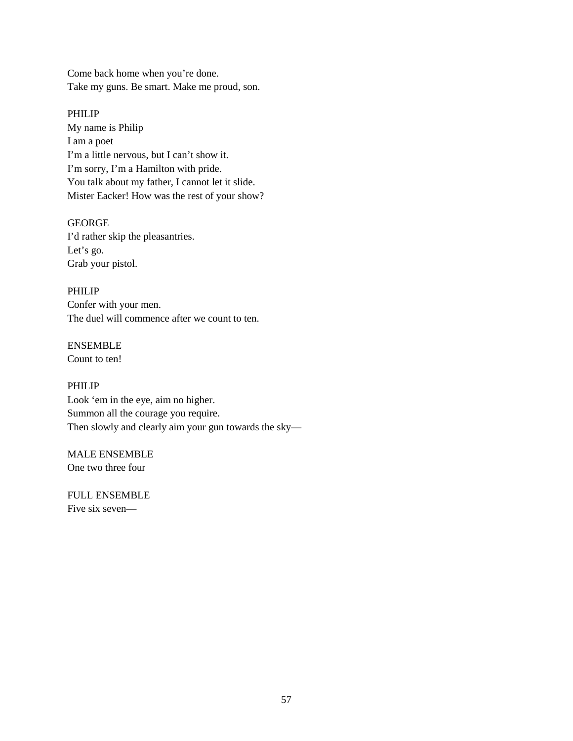Come back home when you're done. Take my guns. Be smart. Make me proud, son.

#### PHILIP

My name is Philip I am a poet I'm a little nervous, but I can't show it. I'm sorry, I'm a Hamilton with pride. You talk about my father, I cannot let it slide. Mister Eacker! How was the rest of your show?

#### GEORGE

I'd rather skip the pleasantries. Let's go. Grab your pistol.

PHILIP Confer with your men. The duel will commence after we count to ten.

ENSEMBLE Count to ten!

PHILIP Look 'em in the eye, aim no higher. Summon all the courage you require. Then slowly and clearly aim your gun towards the sky—

MALE ENSEMBLE One two three four

FULL ENSEMBLE Five six seven—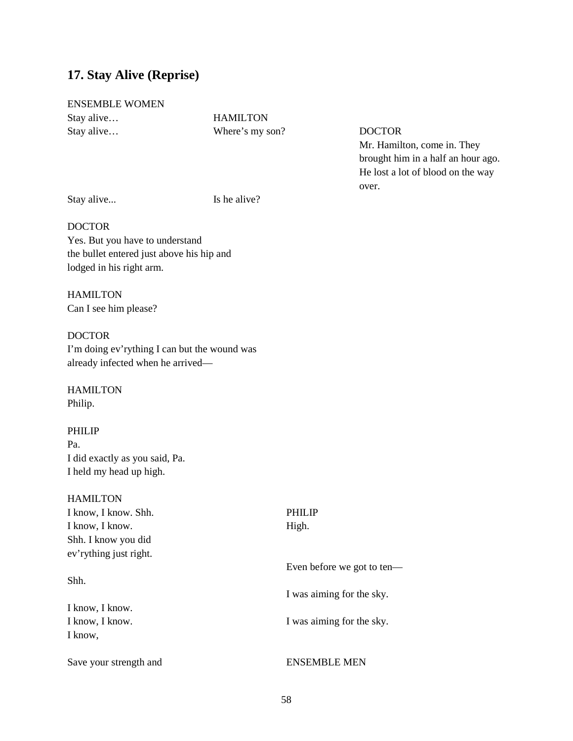# **17. Stay Alive (Reprise)**

## ENSEMBLE WOMEN

Stay alive… Stay alive… **HAMILTON** Where's my son?

#### DOCTOR

Mr. Hamilton, come in. They brought him in a half an hour ago. He lost a lot of blood on the way over.

Stay alive...

Is he alive?

DOCTOR Yes. But you have to understand the bullet entered just above his hip and lodged in his right arm.

**HAMILTON** Can I see him please?

DOCTOR I'm doing ev'rything I can but the wound was already infected when he arrived—

HAMILTON Philip.

**HAMILTON** 

PHILIP Pa. I did exactly as you said, Pa. I held my head up high.

| I know, I know. Shh.   | <b>PHILIP</b>              |
|------------------------|----------------------------|
| I know, I know.        | High.                      |
| Shh. I know you did    |                            |
| ev'rything just right. |                            |
|                        | Even before we got to ten— |
| Shh.                   |                            |
|                        | I was aiming for the sky.  |
| I know, I know.        |                            |
| I know, I know.        | I was aiming for the sky.  |
| I know,                |                            |
| Save your strength and | <b>ENSEMBLE MEN</b>        |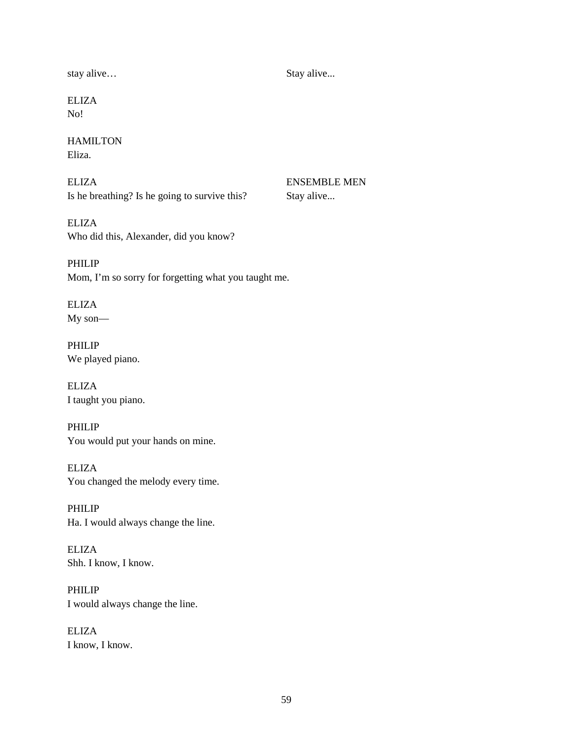stay alive... Stay alive...

ELIZA No!

## **HAMILTON** Eliza.

ELIZA Is he breathing? Is he going to survive this? ENSEMBLE MEN Stay alive...

ELIZA Who did this, Alexander, did you know?

PHILIP Mom, I'm so sorry for forgetting what you taught me.

ELIZA My son—

PHILIP We played piano.

ELIZA I taught you piano.

PHILIP You would put your hands on mine.

ELIZA You changed the melody every time.

PHILIP Ha. I would always change the line.

ELIZA Shh. I know, I know.

PHILIP I would always change the line.

ELIZA I know, I know.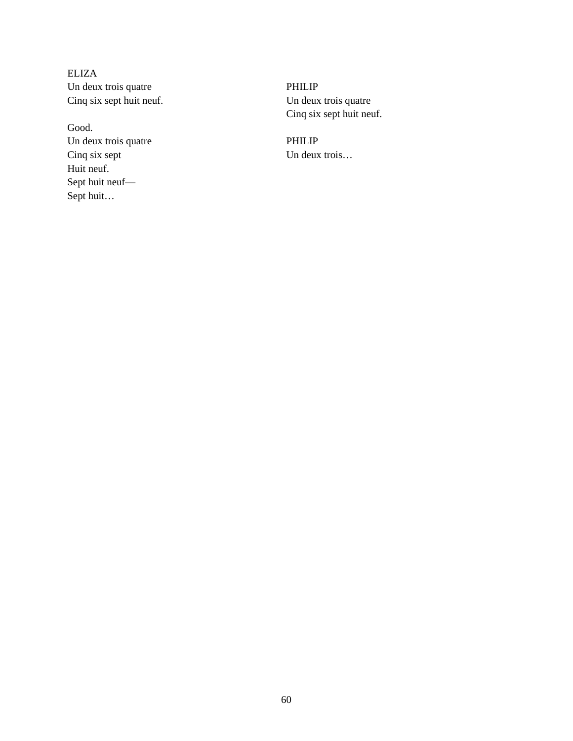ELIZA Un deux trois quatre Cinq six sept huit neuf.

Good. Un deux trois quatre Cinq six sept Huit neuf. Sept huit neuf— Sept huit…

PHILIP Un deux trois quatre Cinq six sept huit neuf.

PHILIP Un deux trois…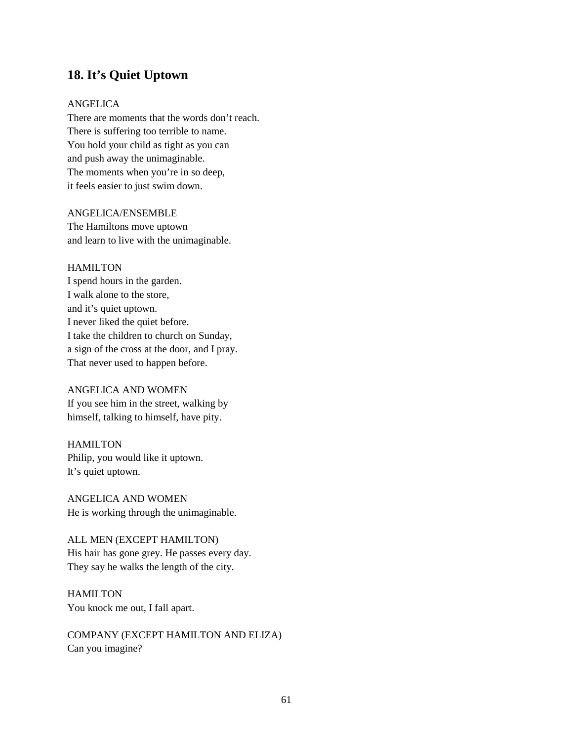# **18. It's Quiet Uptown**

#### ANGELICA

There are moments that the words don't reach. There is suffering too terrible to name. You hold your child as tight as you can and push away the unimaginable. The moments when you're in so deep, it feels easier to just swim down.

#### ANGELICA/ENSEMBLE

The Hamiltons move uptown and learn to live with the unimaginable.

#### **HAMILTON**

I spend hours in the garden. I walk alone to the store, and it's quiet uptown. I never liked the quiet before. I take the children to church on Sunday, a sign of the cross at the door, and I pray. That never used to happen before.

#### ANGELICA AND WOMEN

If you see him in the street, walking by himself, talking to himself, have pity.

#### **HAMILTON**

Philip, you would like it uptown. It's quiet uptown.

ANGELICA AND WOMEN He is working through the unimaginable.

# ALL MEN (EXCEPT HAMILTON) His hair has gone grey. He passes every day. They say he walks the length of the city.

HAMILTON You knock me out, I fall apart.

COMPANY (EXCEPT HAMILTON AND ELIZA) Can you imagine?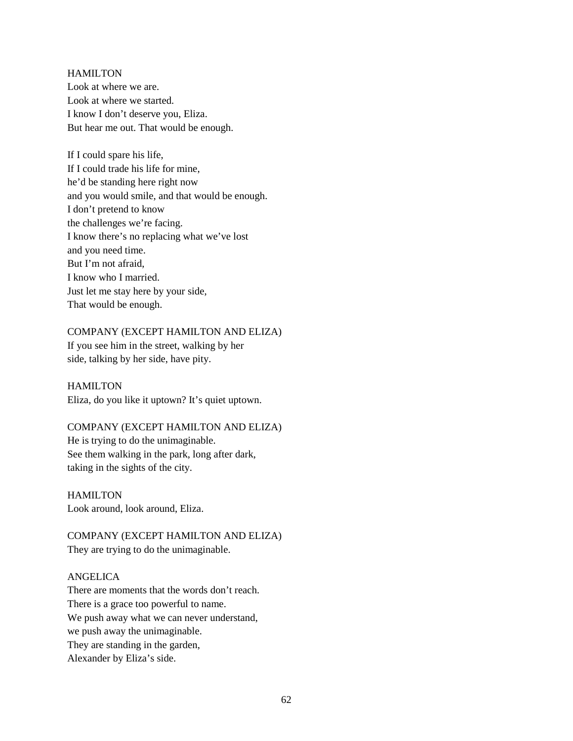## **HAMILTON** Look at where we are. Look at where we started.

I know I don't deserve you, Eliza. But hear me out. That would be enough.

If I could spare his life, If I could trade his life for mine, he'd be standing here right now and you would smile, and that would be enough. I don't pretend to know the challenges we're facing. I know there's no replacing what we've lost and you need time. But I'm not afraid, I know who I married. Just let me stay here by your side, That would be enough.

# COMPANY (EXCEPT HAMILTON AND ELIZA)

If you see him in the street, walking by her side, talking by her side, have pity.

## **HAMILTON**

Eliza, do you like it uptown? It's quiet uptown.

## COMPANY (EXCEPT HAMILTON AND ELIZA)

He is trying to do the unimaginable. See them walking in the park, long after dark, taking in the sights of the city.

**HAMILTON** Look around, look around, Eliza.

## COMPANY (EXCEPT HAMILTON AND ELIZA) They are trying to do the unimaginable.

#### ANGELICA

There are moments that the words don't reach. There is a grace too powerful to name. We push away what we can never understand, we push away the unimaginable. They are standing in the garden, Alexander by Eliza's side.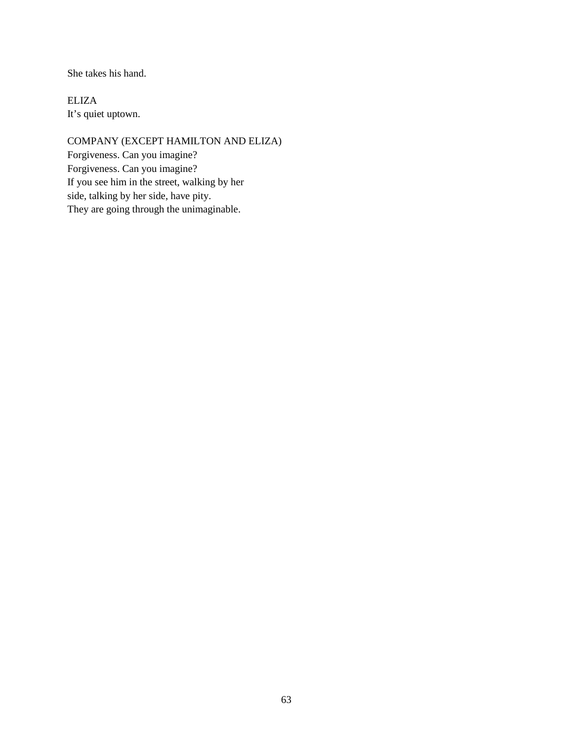She takes his hand.

ELIZA It's quiet uptown.

COMPANY (EXCEPT HAMILTON AND ELIZA) Forgiveness. Can you imagine? Forgiveness. Can you imagine? If you see him in the street, walking by her side, talking by her side, have pity. They are going through the unimaginable.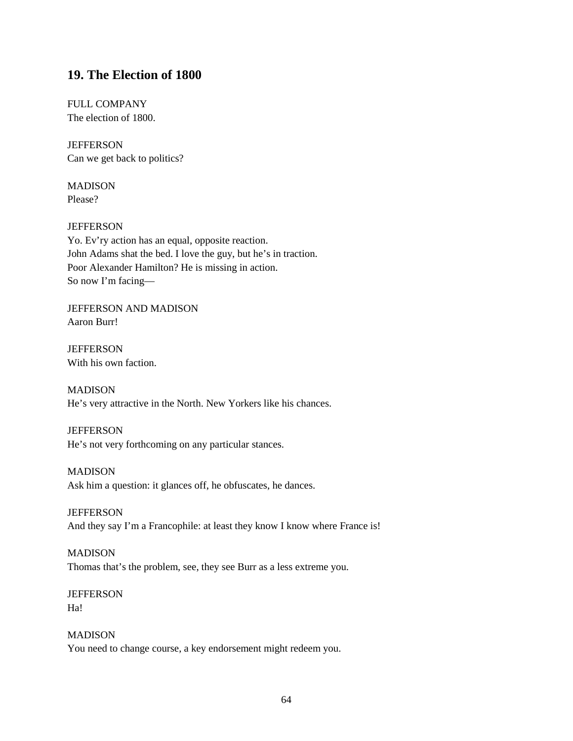# **19. The Election of 1800**

FULL COMPANY The election of 1800.

**JEFFERSON** Can we get back to politics?

MADISON Please?

**JEFFERSON** Yo. Ev'ry action has an equal, opposite reaction. John Adams shat the bed. I love the guy, but he's in traction. Poor Alexander Hamilton? He is missing in action. So now I'm facing—

JEFFERSON AND MADISON Aaron Burr!

**JEFFERSON** With his own faction.

MADISON He's very attractive in the North. New Yorkers like his chances.

# **JEFFERSON** He's not very forthcoming on any particular stances.

MADISON Ask him a question: it glances off, he obfuscates, he dances.

**JEFFERSON** And they say I'm a Francophile: at least they know I know where France is!

# MADISON Thomas that's the problem, see, they see Burr as a less extreme you.

# **JEFFERSON** Ha!

## MADISON

You need to change course, a key endorsement might redeem you.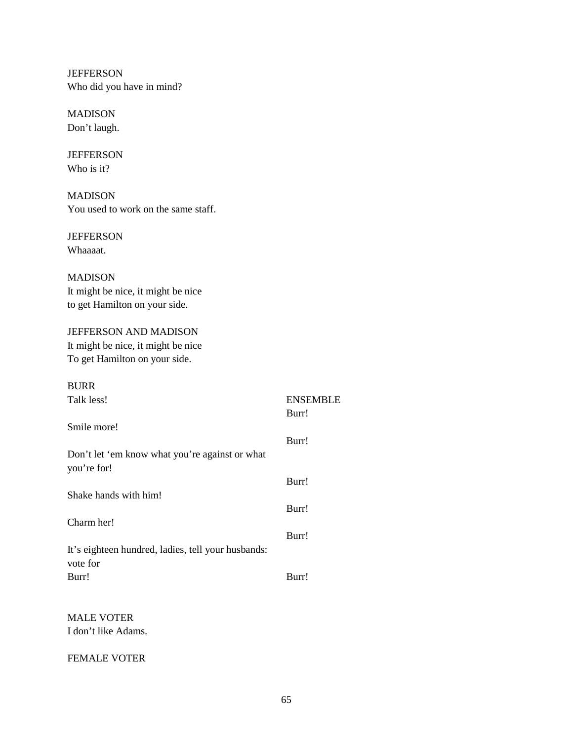**JEFFERSON** Who did you have in mind?

MADISON Don't laugh.

**JEFFERSON** Who is it?

MADISON You used to work on the same staff.

**JEFFERSON** Whaaaat.

MADISON It might be nice, it might be nice to get Hamilton on your side.

JEFFERSON AND MADISON It might be nice, it might be nice To get Hamilton on your side.

BURR

| Talk less!                                         | <b>ENSEMBLE</b> |
|----------------------------------------------------|-----------------|
|                                                    | Burr!           |
| Smile more!                                        |                 |
|                                                    | Burr!           |
| Don't let 'em know what you're against or what     |                 |
| you're for!                                        |                 |
|                                                    | Burr!           |
| Shake hands with him!                              |                 |
|                                                    | Burr!           |
| Charm her!                                         |                 |
|                                                    | Burr!           |
| It's eighteen hundred, ladies, tell your husbands: |                 |
| vote for                                           |                 |
| Burr!                                              | Burr!           |
|                                                    |                 |

MALE VOTER I don't like Adams.

FEMALE VOTER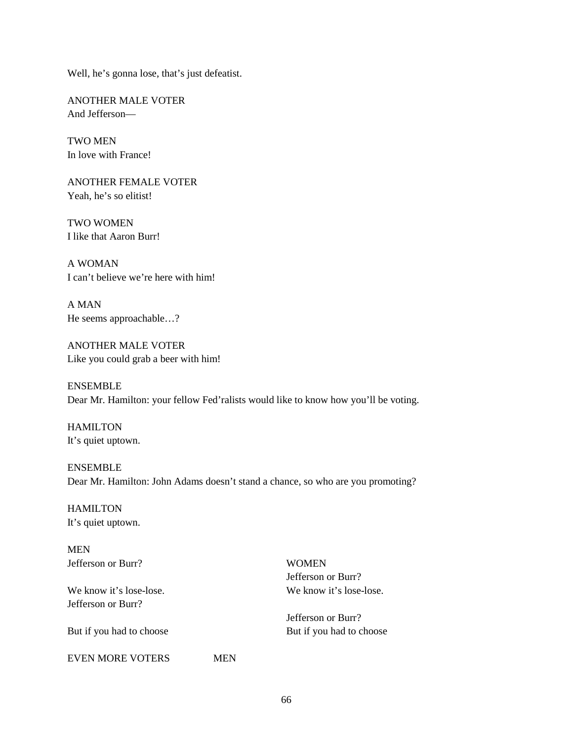Well, he's gonna lose, that's just defeatist.

ANOTHER MALE VOTER And Jefferson—

TWO MEN In love with France!

ANOTHER FEMALE VOTER Yeah, he's so elitist!

TWO WOMEN I like that Aaron Burr!

A WOMAN I can't believe we're here with him!

A MAN He seems approachable…?

ANOTHER MALE VOTER Like you could grab a beer with him!

ENSEMBLE Dear Mr. Hamilton: your fellow Fed'ralists would like to know how you'll be voting.

HAMILTON It's quiet uptown.

ENSEMBLE Dear Mr. Hamilton: John Adams doesn't stand a chance, so who are you promoting?

**HAMILTON** It's quiet uptown.

MEN Jefferson or Burr? We know it's lose-lose. Jefferson or Burr? But if you had to choose WOMEN Jefferson or Burr? We know it's lose-lose. Jefferson or Burr? But if you had to choose EVEN MORE VOTERS MEN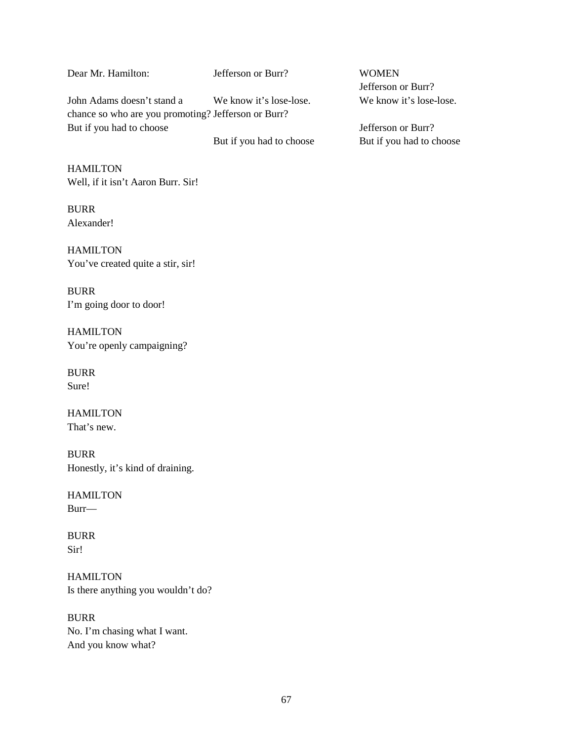Dear Mr. Hamilton:

Jefferson or Burr?

John Adams doesn't stand a chance so who are you promoting? Jefferson or Burr? But if you had to choose We know it's lose-lose.

But if you had to choose

**HAMILTON** Well, if it isn't Aaron Burr. Sir!

BURR Alexander!

**HAMILTON** You've created quite a stir, sir!

BURR I'm going door to door!

HAMILTON You're openly campaigning?

BURR Sure!

**HAMILTON** That's new.

BURR Honestly, it's kind of draining.

**HAMILTON** Burr—

BURR Sir!

**HAMILTON** Is there anything you wouldn't do?

BURR No. I'm chasing what I want. And you know what?

WOMEN Jefferson or Burr? We know it's lose-lose.

Jefferson or Burr? But if you had to choose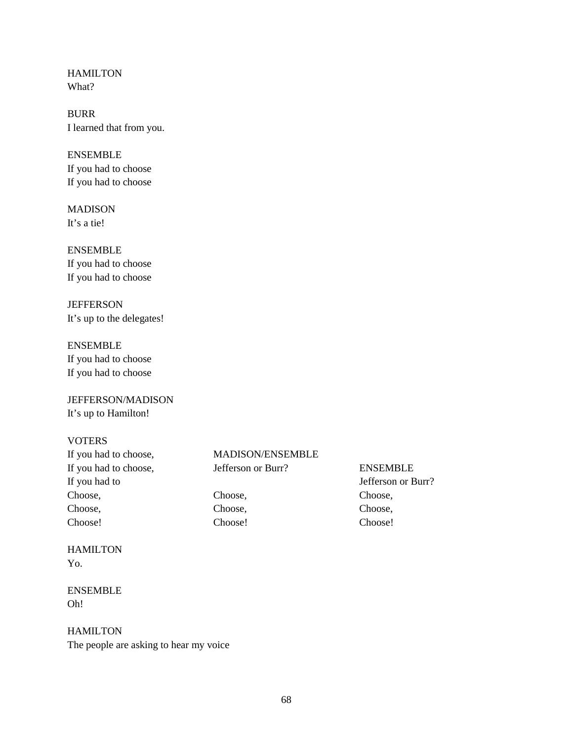**HAMILTON** What?

BURR I learned that from you.

ENSEMBLE If you had to choose If you had to choose

MADISON It's a tie!

ENSEMBLE If you had to choose If you had to choose

**JEFFERSON** It's up to the delegates!

ENSEMBLE If you had to choose If you had to choose

JEFFERSON/MADISON It's up to Hamilton!

## VOTERS

| If you had to choose, | <b>MADISON/ENSEMBLE</b> |  |
|-----------------------|-------------------------|--|
| If you had to choose, | Jefferson or Burr?      |  |
| If you had to         |                         |  |
| Choose,               | Choose,                 |  |
| Choose,               | Choose,                 |  |
| Choose!               | Choose!                 |  |

ENSEMBLE Jefferson or Burr? Choose, Choose, Choose!

## **HAMILTON** Yo.

ENSEMBLE Oh!

#### **HAMILTON**

The people are asking to hear my voice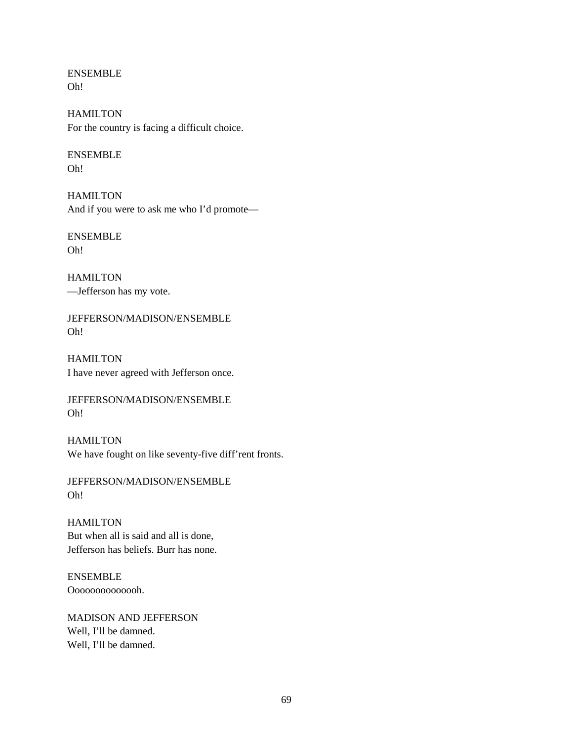ENSEMBLE Oh!

**HAMILTON** For the country is facing a difficult choice.

ENSEMBLE Oh!

**HAMILTON** And if you were to ask me who I'd promote—

ENSEMBLE Oh!

**HAMILTON** —Jefferson has my vote.

JEFFERSON/MADISON/ENSEMBLE Oh!

HAMILTON I have never agreed with Jefferson once.

JEFFERSON/MADISON/ENSEMBLE Oh!

**HAMILTON** We have fought on like seventy-five diff'rent fronts.

JEFFERSON/MADISON/ENSEMBLE Oh!

**HAMILTON** But when all is said and all is done, Jefferson has beliefs. Burr has none.

ENSEMBLE Oooooooooooooh.

MADISON AND JEFFERSON Well, I'll be damned. Well, I'll be damned.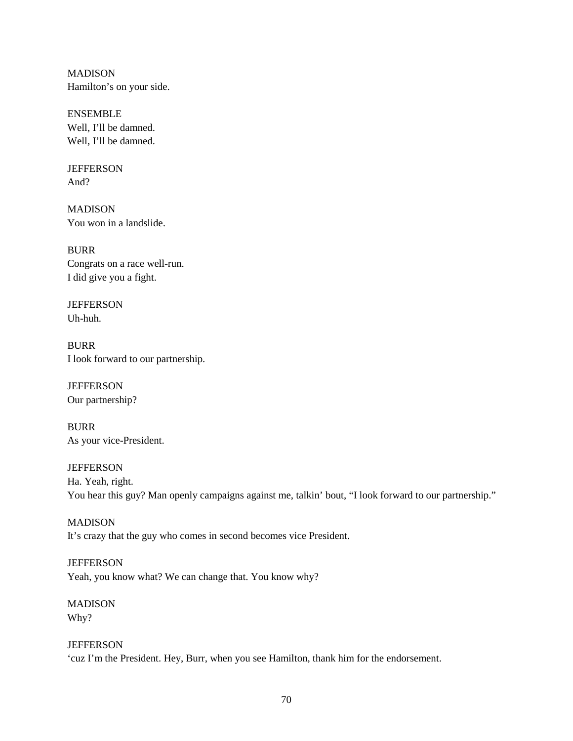MADISON Hamilton's on your side.

ENSEMBLE Well, I'll be damned. Well, I'll be damned.

**JEFFERSON** And?

MADISON You won in a landslide.

BURR Congrats on a race well-run. I did give you a fight.

**JEFFERSON** Uh-huh.

BURR I look forward to our partnership.

**JEFFERSON** Our partnership?

BURR As your vice-President.

**JEFFERSON** Ha. Yeah, right. You hear this guy? Man openly campaigns against me, talkin' bout, "I look forward to our partnership."

MADISON It's crazy that the guy who comes in second becomes vice President.

**JEFFERSON** Yeah, you know what? We can change that. You know why?

MADISON Why?

**JEFFERSON** 'cuz I'm the President. Hey, Burr, when you see Hamilton, thank him for the endorsement.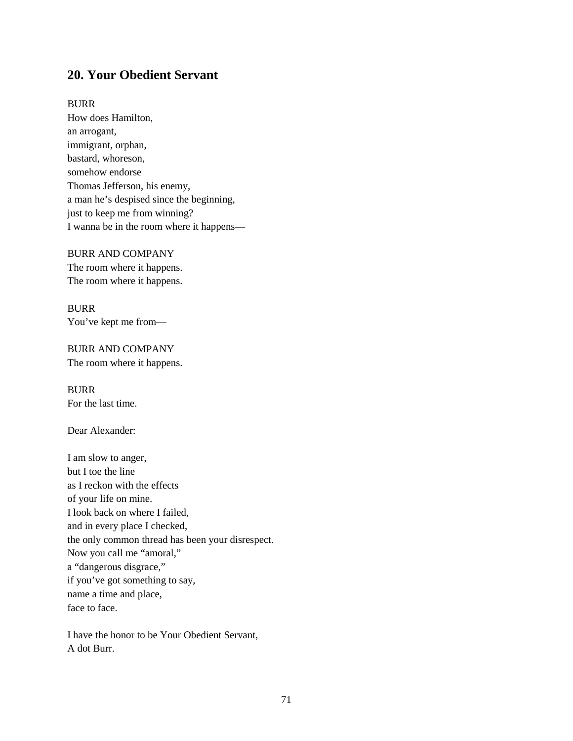# **20. Your Obedient Servant**

#### BURR

How does Hamilton, an arrogant, immigrant, orphan, bastard, whoreson, somehow endorse Thomas Jefferson, his enemy, a man he's despised since the beginning, just to keep me from winning? I wanna be in the room where it happens—

BURR AND COMPANY The room where it happens. The room where it happens.

BURR You've kept me from—

BURR AND COMPANY The room where it happens.

BURR For the last time.

Dear Alexander:

I am slow to anger, but I toe the line as I reckon with the effects of your life on mine. I look back on where I failed, and in every place I checked, the only common thread has been your disrespect. Now you call me "amoral," a "dangerous disgrace," if you've got something to say, name a time and place, face to face.

I have the honor to be Your Obedient Servant, A dot Burr.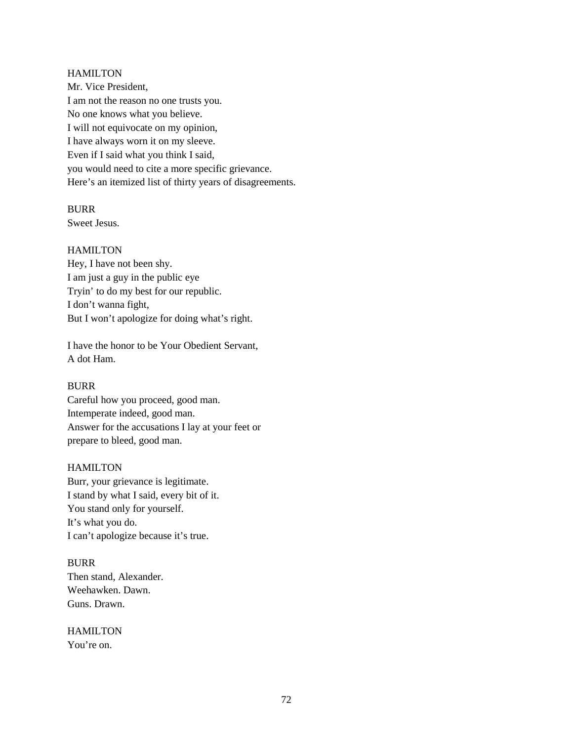#### **HAMILTON**

Mr. Vice President, I am not the reason no one trusts you. No one knows what you believe. I will not equivocate on my opinion, I have always worn it on my sleeve. Even if I said what you think I said, you would need to cite a more specific grievance. Here's an itemized list of thirty years of disagreements.

#### BURR

Sweet Jesus.

#### HAMILTON

Hey, I have not been shy. I am just a guy in the public eye Tryin' to do my best for our republic. I don't wanna fight, But I won't apologize for doing what's right.

I have the honor to be Your Obedient Servant, A dot Ham.

#### BURR

Careful how you proceed, good man. Intemperate indeed, good man. Answer for the accusations I lay at your feet or prepare to bleed, good man.

#### HAMILTON

Burr, your grievance is legitimate. I stand by what I said, every bit of it. You stand only for yourself. It's what you do. I can't apologize because it's true.

# BURR

Then stand, Alexander. Weehawken. Dawn. Guns. Drawn.

HAMILTON You're on.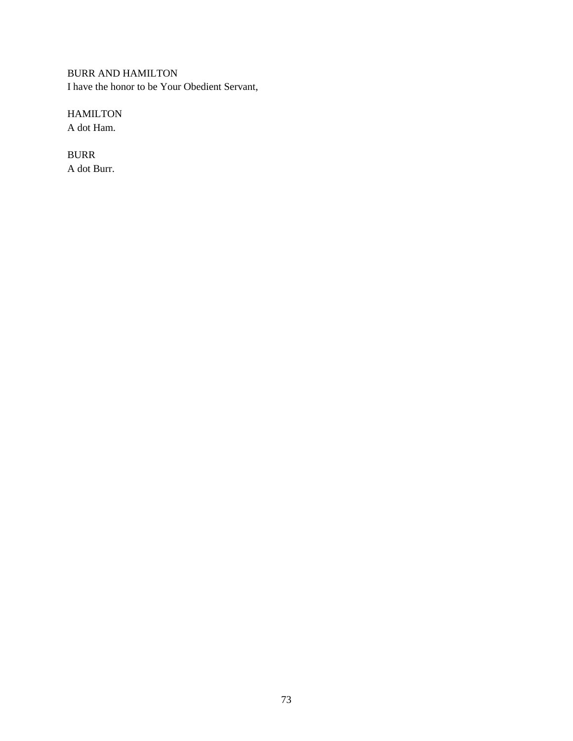# BURR AND HAMILTON I have the honor to be Your Obedient Servant,

HAMILTON A dot Ham.

BURR A dot Burr.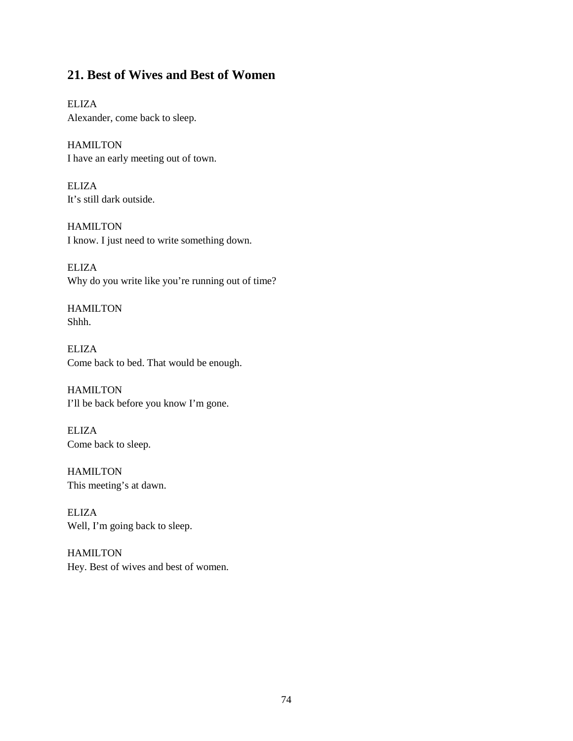# **21. Best of Wives and Best of Women**

ELIZA Alexander, come back to sleep.

**HAMILTON** I have an early meeting out of town.

ELIZA It's still dark outside.

**HAMILTON** I know. I just need to write something down.

ELIZA Why do you write like you're running out of time?

**HAMILTON** Shhh.

ELIZA Come back to bed. That would be enough.

HAMILTON I'll be back before you know I'm gone.

ELIZA Come back to sleep.

**HAMILTON** This meeting's at dawn.

ELIZA Well, I'm going back to sleep.

**HAMILTON** Hey. Best of wives and best of women.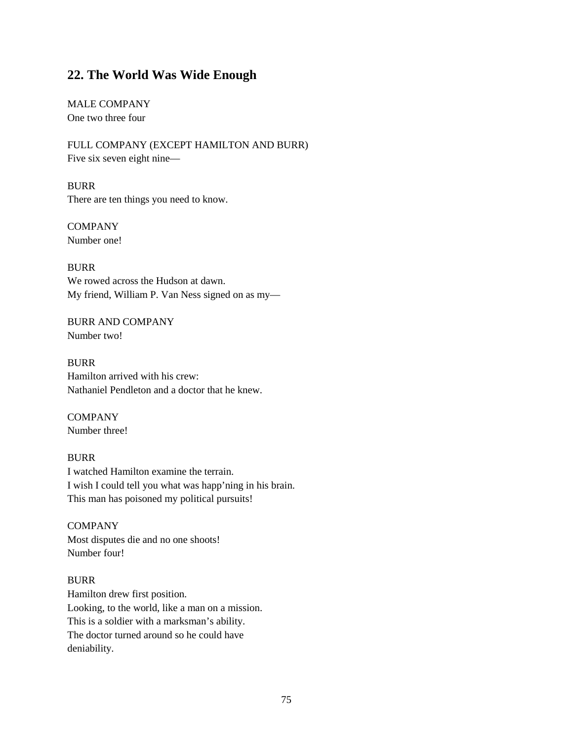# **22. The World Was Wide Enough**

MALE COMPANY One two three four

FULL COMPANY (EXCEPT HAMILTON AND BURR) Five six seven eight nine—

BURR There are ten things you need to know.

**COMPANY** Number one!

BURR We rowed across the Hudson at dawn. My friend, William P. Van Ness signed on as my—

BURR AND COMPANY Number two!

BURR Hamilton arrived with his crew: Nathaniel Pendleton and a doctor that he knew.

**COMPANY** Number three!

BURR I watched Hamilton examine the terrain. I wish I could tell you what was happ'ning in his brain. This man has poisoned my political pursuits!

**COMPANY** Most disputes die and no one shoots! Number four!

#### BURR

Hamilton drew first position. Looking, to the world, like a man on a mission. This is a soldier with a marksman's ability. The doctor turned around so he could have deniability.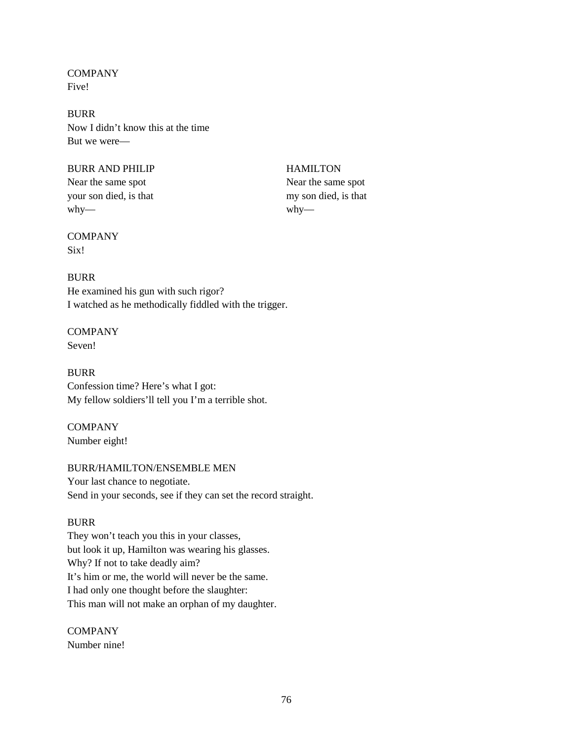**COMPANY** Five!

BURR Now I didn't know this at the time But we were—

#### BURR AND PHILIP

Near the same spot your son died, is that why**HAMILTON** Near the same spot my son died, is that why—

## **COMPANY** Six!

## BURR

He examined his gun with such rigor? I watched as he methodically fiddled with the trigger.

**COMPANY** Seven!

## BURR

Confession time? Here's what I got: My fellow soldiers'll tell you I'm a terrible shot.

**COMPANY** Number eight!

## BURR/HAMILTON/ENSEMBLE MEN

Your last chance to negotiate. Send in your seconds, see if they can set the record straight.

#### BURR

They won't teach you this in your classes, but look it up, Hamilton was wearing his glasses. Why? If not to take deadly aim? It's him or me, the world will never be the same. I had only one thought before the slaughter: This man will not make an orphan of my daughter.

**COMPANY** Number nine!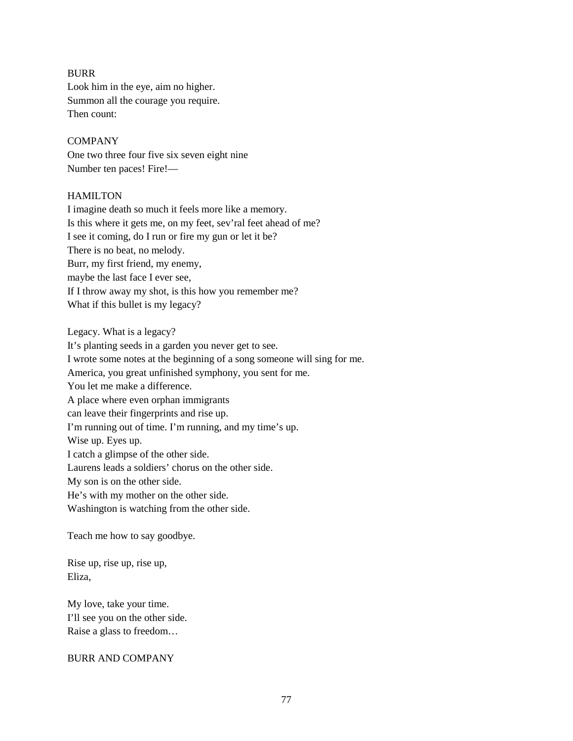#### BURR

Look him in the eye, aim no higher. Summon all the courage you require. Then count:

#### **COMPANY**

One two three four five six seven eight nine Number ten paces! Fire!—

#### **HAMILTON**

I imagine death so much it feels more like a memory. Is this where it gets me, on my feet, sev'ral feet ahead of me? I see it coming, do I run or fire my gun or let it be? There is no beat, no melody. Burr, my first friend, my enemy, maybe the last face I ever see, If I throw away my shot, is this how you remember me? What if this bullet is my legacy?

Legacy. What is a legacy?

It's planting seeds in a garden you never get to see. I wrote some notes at the beginning of a song someone will sing for me. America, you great unfinished symphony, you sent for me. You let me make a difference. A place where even orphan immigrants can leave their fingerprints and rise up. I'm running out of time. I'm running, and my time's up. Wise up. Eyes up. I catch a glimpse of the other side. Laurens leads a soldiers' chorus on the other side. My son is on the other side. He's with my mother on the other side. Washington is watching from the other side.

Teach me how to say goodbye.

Rise up, rise up, rise up, Eliza,

My love, take your time. I'll see you on the other side. Raise a glass to freedom…

#### BURR AND COMPANY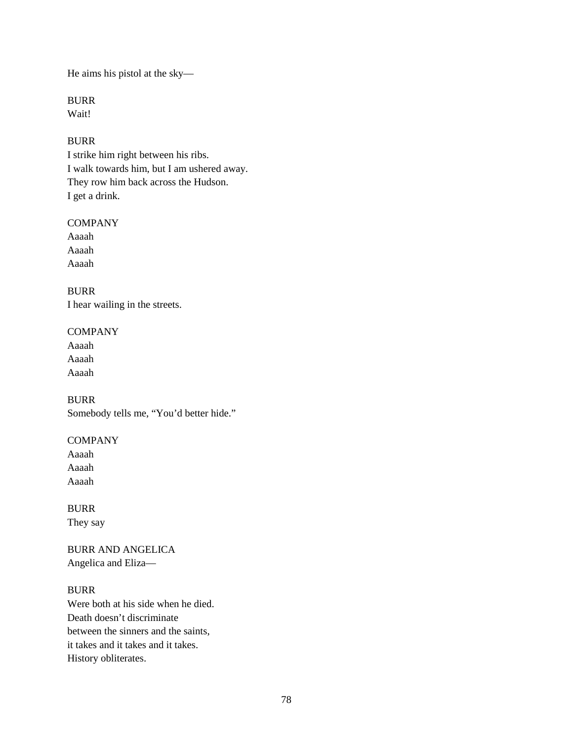He aims his pistol at the sky—

BURR Wait!

#### BURR

I strike him right between his ribs. I walk towards him, but I am ushered away. They row him back across the Hudson. I get a drink.

## **COMPANY**

Aaaah Aaaah Aaaah

# BURR

I hear wailing in the streets.

#### **COMPANY**

Aaaah Aaaah Aaaah

## BURR

Somebody tells me, "You'd better hide."

## **COMPANY**

Aaaah Aaaah Aaaah

## BURR

They say

## BURR AND ANGELICA Angelica and Eliza—

## BURR

Were both at his side when he died. Death doesn't discriminate between the sinners and the saints, it takes and it takes and it takes. History obliterates.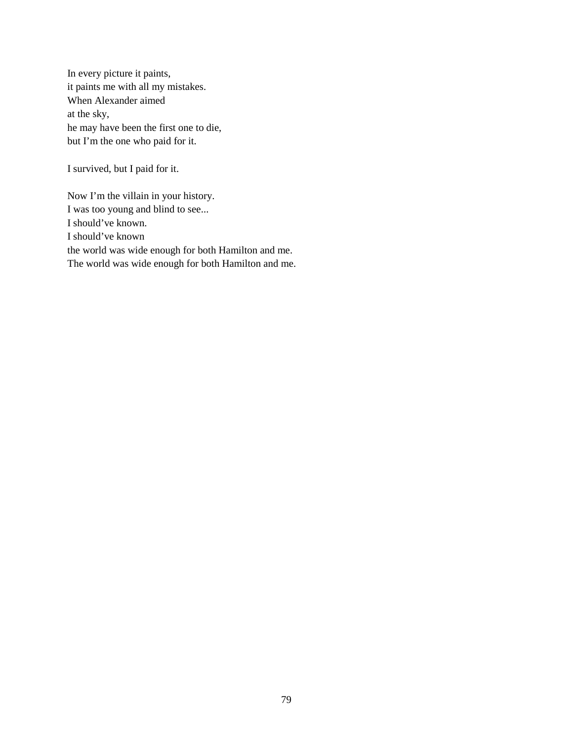In every picture it paints, it paints me with all my mistakes. When Alexander aimed at the sky, he may have been the first one to die, but I'm the one who paid for it.

I survived, but I paid for it.

Now I'm the villain in your history. I was too young and blind to see... I should've known. I should've known the world was wide enough for both Hamilton and me. The world was wide enough for both Hamilton and me.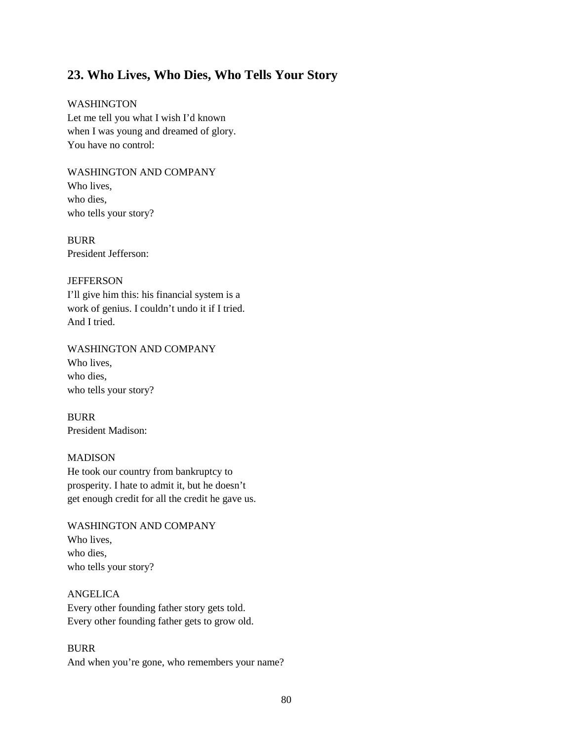# **23. Who Lives, Who Dies, Who Tells Your Story**

#### WASHINGTON

Let me tell you what I wish I'd known when I was young and dreamed of glory. You have no control:

## WASHINGTON AND COMPANY

Who lives, who dies, who tells your story?

BURR President Jefferson:

#### **JEFFERSON**

I'll give him this: his financial system is a work of genius. I couldn't undo it if I tried. And I tried.

#### WASHINGTON AND COMPANY

Who lives, who dies, who tells your story?

BURR President Madison:

## MADISON

He took our country from bankruptcy to prosperity. I hate to admit it, but he doesn't get enough credit for all the credit he gave us.

# WASHINGTON AND COMPANY

Who lives, who dies, who tells your story?

#### ANGELICA

Every other founding father story gets told. Every other founding father gets to grow old.

## BURR

And when you're gone, who remembers your name?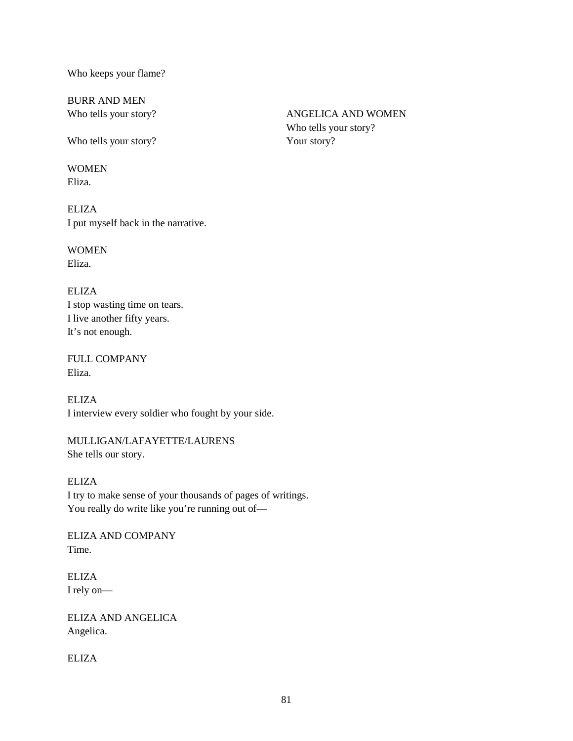Who keeps your flame?

BURR AND MEN Who tells your story?

Who tells your story?

WOMEN Eliza.

ELIZA I put myself back in the narrative.

WOMEN Eliza.

ELIZA I stop wasting time on tears. I live another fifty years. It's not enough.

FULL COMPANY Eliza.

ELIZA I interview every soldier who fought by your side.

MULLIGAN/LAFAYETTE/LAURENS She tells our story.

ELIZA I try to make sense of your thousands of pages of writings. You really do write like you're running out of—

ELIZA AND COMPANY Time.

ELIZA I rely on—

ELIZA AND ANGELICA Angelica.

ELIZA

ANGELICA AND WOMEN Who tells your story? Your story?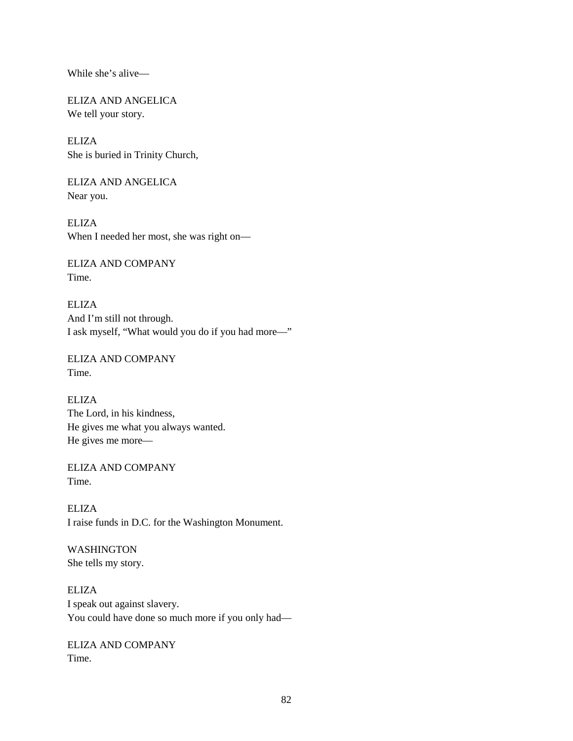While she's alive—

ELIZA AND ANGELICA We tell your story.

ELIZA She is buried in Trinity Church,

ELIZA AND ANGELICA Near you.

ELIZA When I needed her most, she was right on—

ELIZA AND COMPANY Time.

ELIZA And I'm still not through. I ask myself, "What would you do if you had more—"

ELIZA AND COMPANY Time.

ELIZA The Lord, in his kindness, He gives me what you always wanted. He gives me more—

ELIZA AND COMPANY Time.

ELIZA I raise funds in D.C. for the Washington Monument.

WASHINGTON She tells my story.

ELIZA I speak out against slavery. You could have done so much more if you only had—

ELIZA AND COMPANY Time.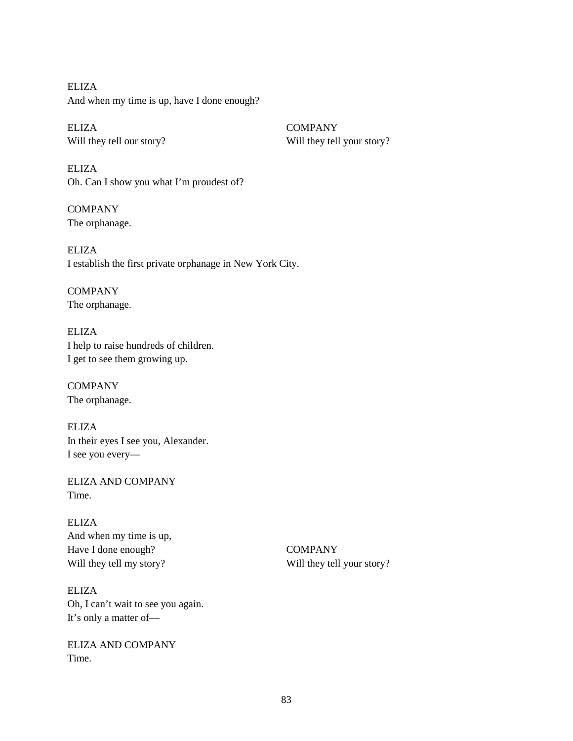ELIZA And when my time is up, have I done enough?

ELIZA Will they tell our story? **COMPANY** Will they tell your story?

ELIZA Oh. Can I show you what I'm proudest of?

**COMPANY** The orphanage.

ELIZA I establish the first private orphanage in New York City.

COMPANY The orphanage.

ELIZA I help to raise hundreds of children. I get to see them growing up.

**COMPANY** The orphanage.

ELIZA In their eyes I see you, Alexander. I see you every—

ELIZA AND COMPANY Time.

ELIZA And when my time is up, Have I done enough? Will they tell my story?

ELIZA Oh, I can't wait to see you again. It's only a matter of—

ELIZA AND COMPANY Time.

**COMPANY** Will they tell your story?